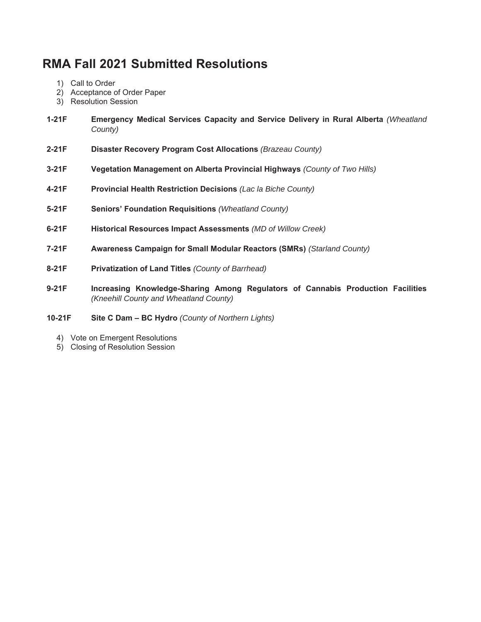# **RMA Fall 2021 Submitted Resolutions**

- 1) Call to Order
- 2) Acceptance of Order Paper
- 3) Resolution Session
- **1-21F Emergency Medical Services Capacity and Service Delivery in Rural Alberta** *(Wheatland County)*
- **2-21F Disaster Recovery Program Cost Allocations** *(Brazeau County)*
- **3-21F Vegetation Management on Alberta Provincial Highways** *(County of Two Hills)*
- **4-21F Provincial Health Restriction Decisions** *(Lac la Biche County)*
- **5-21F Seniors' Foundation Requisitions** *(Wheatland County)*
- **6-21F Historical Resources Impact Assessments** *(MD of Willow Creek)*
- **7-21F Awareness Campaign for Small Modular Reactors (SMRs)** *(Starland County)*
- **8-21F Privatization of Land Titles** *(County of Barrhead)*
- **9-21F Increasing Knowledge-Sharing Among Regulators of Cannabis Production Facilities**  *(Kneehill County and Wheatland County)*
- **10-21F Site C Dam – BC Hydro** *(County of Northern Lights)* 
	- 4) Vote on Emergent Resolutions
	- 5) Closing of Resolution Session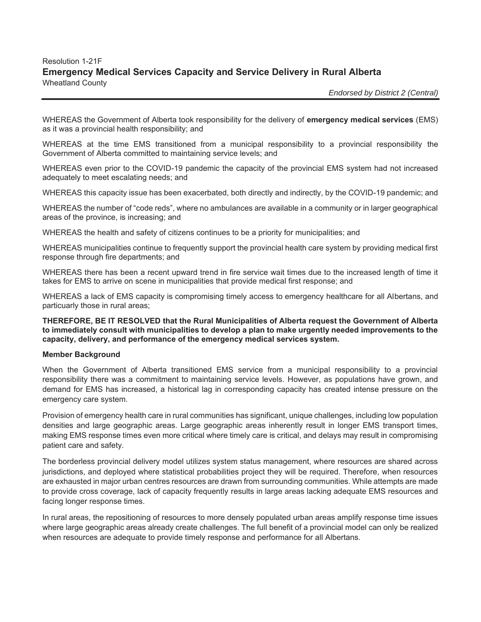# Resolution 1-21F **Emergency Medical Services Capacity and Service Delivery in Rural Alberta**  Wheatland County

 *Endorsed by District 2 (Central)*

WHEREAS the Government of Alberta took responsibility for the delivery of **emergency medical services** (EMS) as it was a provincial health responsibility; and

WHEREAS at the time EMS transitioned from a municipal responsibility to a provincial responsibility the Government of Alberta committed to maintaining service levels; and

WHEREAS even prior to the COVID-19 pandemic the capacity of the provincial EMS system had not increased adequately to meet escalating needs; and

WHEREAS this capacity issue has been exacerbated, both directly and indirectly, by the COVID-19 pandemic; and

WHEREAS the number of "code reds", where no ambulances are available in a community or in larger geographical areas of the province, is increasing; and

WHEREAS the health and safety of citizens continues to be a priority for municipalities; and

WHEREAS municipalities continue to frequently support the provincial health care system by providing medical first response through fire departments; and

WHEREAS there has been a recent upward trend in fire service wait times due to the increased length of time it takes for EMS to arrive on scene in municipalities that provide medical first response; and

WHEREAS a lack of EMS capacity is compromising timely access to emergency healthcare for all Albertans, and particuarly those in rural areas;

**THEREFORE, BE IT RESOLVED that the Rural Municipalities of Alberta request the Government of Alberta to immediately consult with municipalities to develop a plan to make urgently needed improvements to the capacity, delivery, and performance of the emergency medical services system.** 

#### **Member Background**

When the Government of Alberta transitioned EMS service from a municipal responsibility to a provincial responsibility there was a commitment to maintaining service levels. However, as populations have grown, and demand for EMS has increased, a historical lag in corresponding capacity has created intense pressure on the emergency care system.

Provision of emergency health care in rural communities has significant, unique challenges, including low population densities and large geographic areas. Large geographic areas inherently result in longer EMS transport times, making EMS response times even more critical where timely care is critical, and delays may result in compromising patient care and safety.

The borderless provincial delivery model utilizes system status management, where resources are shared across jurisdictions, and deployed where statistical probabilities project they will be required. Therefore, when resources are exhausted in major urban centres resources are drawn from surrounding communities. While attempts are made to provide cross coverage, lack of capacity frequently results in large areas lacking adequate EMS resources and facing longer response times.

In rural areas, the repositioning of resources to more densely populated urban areas amplify response time issues where large geographic areas already create challenges. The full benefit of a provincial model can only be realized when resources are adequate to provide timely response and performance for all Albertans.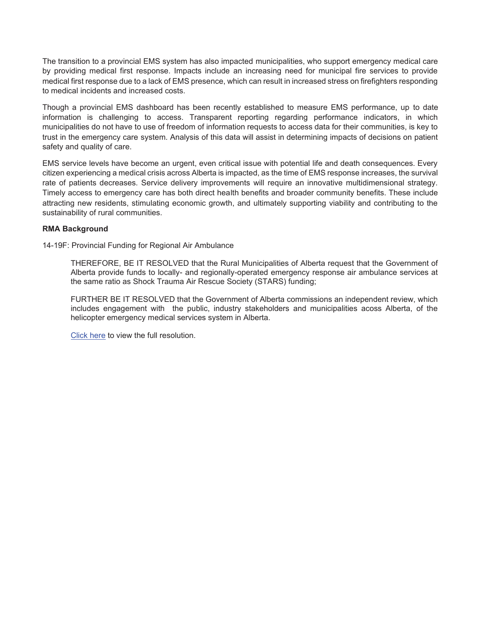The transition to a provincial EMS system has also impacted municipalities, who support emergency medical care by providing medical first response. Impacts include an increasing need for municipal fire services to provide medical first response due to a lack of EMS presence, which can result in increased stress on firefighters responding to medical incidents and increased costs.

Though a provincial EMS dashboard has been recently established to measure EMS performance, up to date information is challenging to access. Transparent reporting regarding performance indicators, in which municipalities do not have to use of freedom of information requests to access data for their communities, is key to trust in the emergency care system. Analysis of this data will assist in determining impacts of decisions on patient safety and quality of care.

EMS service levels have become an urgent, even critical issue with potential life and death consequences. Every citizen experiencing a medical crisis across Alberta is impacted, as the time of EMS response increases, the survival rate of patients decreases. Service delivery improvements will require an innovative multidimensional strategy. Timely access to emergency care has both direct health benefits and broader community benefits. These include attracting new residents, stimulating economic growth, and ultimately supporting viability and contributing to the sustainability of rural communities.

#### **RMA Background**

14-19F: Provincial Funding for Regional Air Ambulance

THEREFORE, BE IT RESOLVED that the Rural Municipalities of Alberta request that the Government of Alberta provide funds to locally- and regionally-operated emergency response air ambulance services at the same ratio as Shock Trauma Air Rescue Society (STARS) funding;

FURTHER BE IT RESOLVED that the Government of Alberta commissions an independent review, which includes engagement with the public, industry stakeholders and municipalities acoss Alberta, of the helicopter emergency medical services system in Alberta.

Click here to view the full resolution.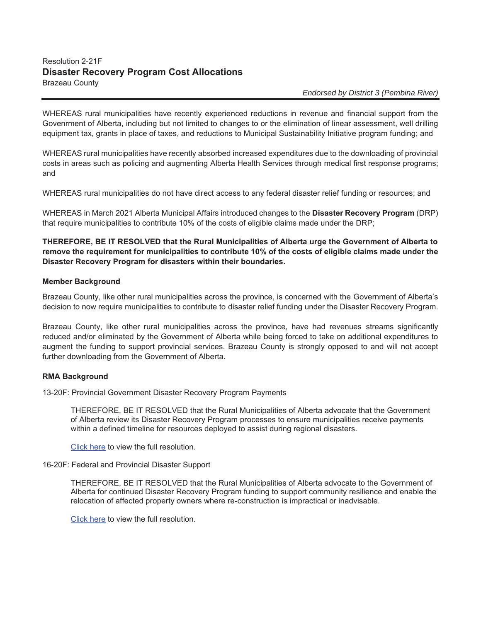# Resolution 2-21F **Disaster Recovery Program Cost Allocations**  Brazeau County

### *Endorsed by District 3 (Pembina River)*

WHEREAS rural municipalities have recently experienced reductions in revenue and financial support from the Govenrment of Alberta, including but not limited to changes to or the elimination of linear assessment, well drilling equipment tax, grants in place of taxes, and reductions to Municipal Sustainability Initiative program funding; and

WHEREAS rural municipalities have recently absorbed increased expenditures due to the downloading of provincial costs in areas such as policing and augmenting Alberta Health Services through medical first response programs; and

WHEREAS rural municipalities do not have direct access to any federal disaster relief funding or resources; and

WHEREAS in March 2021 Alberta Municipal Affairs introduced changes to the **Disaster Recovery Program** (DRP) that require municipalities to contribute 10% of the costs of eligible claims made under the DRP;

**THEREFORE, BE IT RESOLVED that the Rural Municipalities of Alberta urge the Government of Alberta to remove the requirement for municipalities to contribute 10% of the costs of eligible claims made under the Disaster Recovery Program for disasters within their boundaries.** 

#### **Member Background**

Brazeau County, like other rural municipalities across the province, is concerned with the Government of Alberta's decision to now require municipalities to contribute to disaster relief funding under the Disaster Recovery Program.

Brazeau County, like other rural municipalities across the province, have had revenues streams significantly reduced and/or eliminated by the Government of Alberta while being forced to take on additional expenditures to augment the funding to support provincial services. Brazeau County is strongly opposed to and will not accept further downloading from the Government of Alberta.

#### **RMA Background**

13-20F: Provincial Government Disaster Recovery Program Payments

THEREFORE, BE IT RESOLVED that the Rural Municipalities of Alberta advocate that the Government of Alberta review its Disaster Recovery Program processes to ensure municipalities receive payments within a defined timeline for resources deployed to assist during regional disasters.

Click here to view the full resolution.

16-20F: Federal and Provincial Disaster Support

THEREFORE, BE IT RESOLVED that the Rural Municipalities of Alberta advocate to the Government of Alberta for continued Disaster Recovery Program funding to support community resilience and enable the relocation of affected property owners where re-construction is impractical or inadvisable.

Click here to view the full resolution.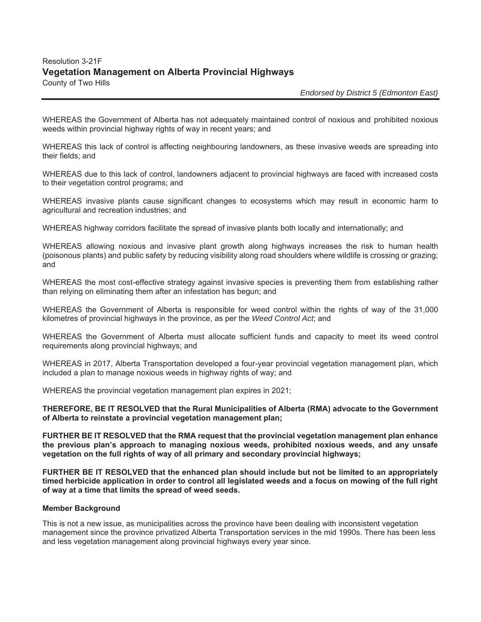# Resolution 3-21F **Vegetation Management on Alberta Provincial Highways**  County of Two Hills

 *Endorsed by District 5 (Edmonton East)*

WHEREAS the Government of Alberta has not adequately maintained control of noxious and prohibited noxious weeds within provincial highway rights of way in recent years; and

WHEREAS this lack of control is affecting neighbouring landowners, as these invasive weeds are spreading into their fields; and

WHEREAS due to this lack of control, landowners adjacent to provincial highways are faced with increased costs to their vegetation control programs; and

WHEREAS invasive plants cause significant changes to ecosystems which may result in economic harm to agricultural and recreation industries; and

WHEREAS highway corridors facilitate the spread of invasive plants both locally and internationally; and

WHEREAS allowing noxious and invasive plant growth along highways increases the risk to human health (poisonous plants) and public safety by reducing visibility along road shoulders where wildlife is crossing or grazing; and

WHEREAS the most cost-effective strategy against invasive species is preventing them from establishing rather than relying on eliminating them after an infestation has begun; and

WHEREAS the Government of Alberta is responsible for weed control within the rights of way of the 31,000 kilometres of provincial highways in the province, as per the *Weed Control Act*; and

WHEREAS the Government of Alberta must allocate sufficient funds and capacity to meet its weed control requirements along provincial highways; and

WHEREAS in 2017, Alberta Transportation developed a four-year provincial vegetation management plan, which included a plan to manage noxious weeds in highway rights of way; and

WHEREAS the provincial vegetation management plan expires in 2021;

**THEREFORE, BE IT RESOLVED that the Rural Municipalities of Alberta (RMA) advocate to the Government of Alberta to reinstate a provincial vegetation management plan;** 

**FURTHER BE IT RESOLVED that the RMA request that the provincial vegetation management plan enhance the previous plan's approach to managing noxious weeds, prohibited noxious weeds, and any unsafe vegetation on the full rights of way of all primary and secondary provincial highways;** 

**FURTHER BE IT RESOLVED that the enhanced plan should include but not be limited to an appropriately timed herbicide application in order to control all legislated weeds and a focus on mowing of the full right of way at a time that limits the spread of weed seeds.** 

#### **Member Background**

This is not a new issue, as municipalities across the province have been dealing with inconsistent vegetation management since the province privatized Alberta Transportation services in the mid 1990s. There has been less and less vegetation management along provincial highways every year since.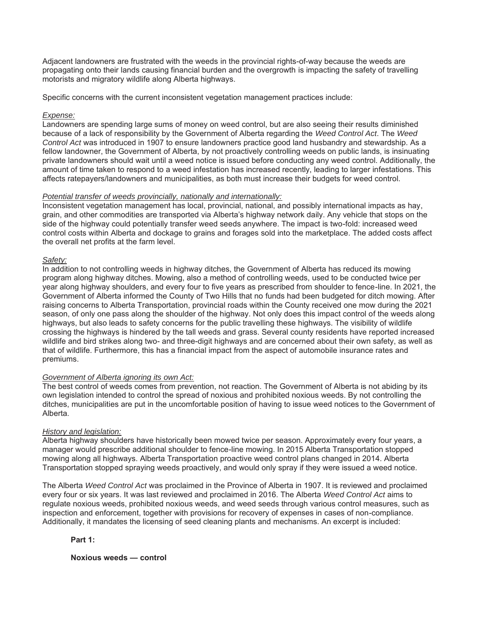Adjacent landowners are frustrated with the weeds in the provincial rights-of-way because the weeds are propagating onto their lands causing financial burden and the overgrowth is impacting the safety of travelling motorists and migratory wildlife along Alberta highways.

Specific concerns with the current inconsistent vegetation management practices include:

#### *Expense:*

Landowners are spending large sums of money on weed control, but are also seeing their results diminished because of a lack of responsibility by the Government of Alberta regarding the *Weed Control Act*. The *Weed Control Act* was introduced in 1907 to ensure landowners practice good land husbandry and stewardship. As a fellow landowner, the Government of Alberta, by not proactively controlling weeds on public lands, is insinuating private landowners should wait until a weed notice is issued before conducting any weed control. Additionally, the amount of time taken to respond to a weed infestation has increased recently, leading to larger infestations. This affects ratepayers/landowners and municipalities, as both must increase their budgets for weed control.

#### *Potential transfer of weeds provincially, nationally and internationally:*

Inconsistent vegetation management has local, provincial, national, and possibly international impacts as hay, grain, and other commodities are transported via Alberta's highway network daily. Any vehicle that stops on the side of the highway could potentially transfer weed seeds anywhere. The impact is two-fold: increased weed control costs within Alberta and dockage to grains and forages sold into the marketplace. The added costs affect the overall net profits at the farm level.

#### *Safety:*

In addition to not controlling weeds in highway ditches, the Government of Alberta has reduced its mowing program along highway ditches. Mowing, also a method of controlling weeds, used to be conducted twice per year along highway shoulders, and every four to five years as prescribed from shoulder to fence-line. In 2021, the Government of Alberta informed the County of Two Hills that no funds had been budgeted for ditch mowing. After raising concerns to Alberta Transportation, provincial roads within the County received one mow during the 2021 season, of only one pass along the shoulder of the highway. Not only does this impact control of the weeds along highways, but also leads to safety concerns for the public travelling these highways. The visibility of wildlife crossing the highways is hindered by the tall weeds and grass. Several county residents have reported increased wildlife and bird strikes along two- and three-digit highways and are concerned about their own safety, as well as that of wildlife. Furthermore, this has a financial impact from the aspect of automobile insurance rates and premiums.

#### *Government of Alberta ignoring its own Act:*

The best control of weeds comes from prevention, not reaction. The Government of Alberta is not abiding by its own legislation intended to control the spread of noxious and prohibited noxious weeds. By not controlling the ditches, municipalities are put in the uncomfortable position of having to issue weed notices to the Government of Alberta.

#### *History and legislation:*

Alberta highway shoulders have historically been mowed twice per season. Approximately every four years, a manager would prescribe additional shoulder to fence-line mowing. In 2015 Alberta Transportation stopped mowing along all highways. Alberta Transportation proactive weed control plans changed in 2014. Alberta Transportation stopped spraying weeds proactively, and would only spray if they were issued a weed notice.

The Alberta *Weed Control Act* was proclaimed in the Province of Alberta in 1907. It is reviewed and proclaimed every four or six years. It was last reviewed and proclaimed in 2016. The Alberta *Weed Control Act* aims to regulate noxious weeds, prohibited noxious weeds, and weed seeds through various control measures, such as inspection and enforcement, together with provisions for recovery of expenses in cases of non-compliance. Additionally, it mandates the licensing of seed cleaning plants and mechanisms. An excerpt is included:

#### **Part 1:**

**Noxious weeds — control**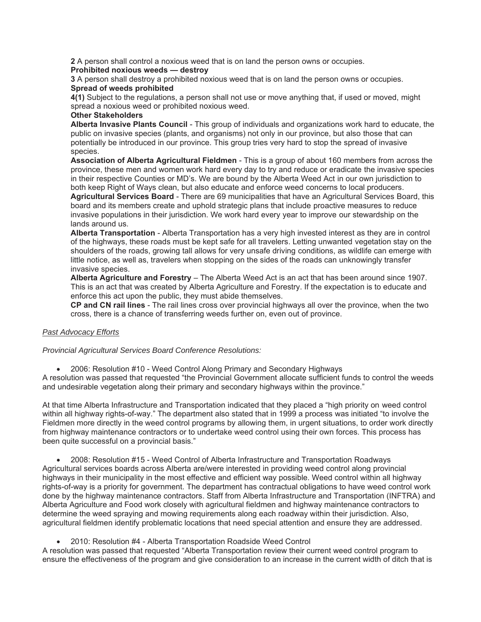**2** A person shall control a noxious weed that is on land the person owns or occupies.

#### **Prohibited noxious weeds — destroy**

**3** A person shall destroy a prohibited noxious weed that is on land the person owns or occupies. **Spread of weeds prohibited** 

**4(1)** Subject to the regulations, a person shall not use or move anything that, if used or moved, might spread a noxious weed or prohibited noxious weed.

#### **Other Stakeholders**

**Alberta Invasive Plants Council** - This group of individuals and organizations work hard to educate, the public on invasive species (plants, and organisms) not only in our province, but also those that can potentially be introduced in our province. This group tries very hard to stop the spread of invasive species.

**Association of Alberta Agricultural Fieldmen** - This is a group of about 160 members from across the province, these men and women work hard every day to try and reduce or eradicate the invasive species in their respective Counties or MD's. We are bound by the Alberta Weed Act in our own jurisdiction to both keep Right of Ways clean, but also educate and enforce weed concerns to local producers.

**Agricultural Services Board** - There are 69 municipalities that have an Agricultural Services Board, this board and its members create and uphold strategic plans that include proactive measures to reduce invasive populations in their jurisdiction. We work hard every year to improve our stewardship on the lands around us.

**Alberta Transportation** - Alberta Transportation has a very high invested interest as they are in control of the highways, these roads must be kept safe for all travelers. Letting unwanted vegetation stay on the shoulders of the roads, growing tall allows for very unsafe driving conditions, as wildlife can emerge with little notice, as well as, travelers when stopping on the sides of the roads can unknowingly transfer invasive species.

**Alberta Agriculture and Forestry** – The Alberta Weed Act is an act that has been around since 1907. This is an act that was created by Alberta Agriculture and Forestry. If the expectation is to educate and enforce this act upon the public, they must abide themselves.

**CP and CN rail lines** - The rail lines cross over provincial highways all over the province, when the two cross, there is a chance of transferring weeds further on, even out of province.

#### *Past Advocacy Efforts*

*Provincial Agricultural Services Board Conference Resolutions:* 

x 2006: Resolution #10 - Weed Control Along Primary and Secondary Highways

A resolution was passed that requested "the Provincial Government allocate sufficient funds to control the weeds and undesirable vegetation along their primary and secondary highways within the province."

At that time Alberta Infrastructure and Transportation indicated that they placed a "high priority on weed control within all highway rights-of-way." The department also stated that in 1999 a process was initiated "to involve the Fieldmen more directly in the weed control programs by allowing them, in urgent situations, to order work directly from highway maintenance contractors or to undertake weed control using their own forces. This process has been quite successful on a provincial basis."

x 2008: Resolution #15 - Weed Control of Alberta Infrastructure and Transportation Roadways Agricultural services boards across Alberta are/were interested in providing weed control along provincial highways in their municipality in the most effective and efficient way possible. Weed control within all highway rights-of-way is a priority for government. The department has contractual obligations to have weed control work done by the highway maintenance contractors. Staff from Alberta Infrastructure and Transportation (INFTRA) and Alberta Agriculture and Food work closely with agricultural fieldmen and highway maintenance contractors to determine the weed spraying and mowing requirements along each roadway within their jurisdiction. Also, agricultural fieldmen identify problematic locations that need special attention and ensure they are addressed.

• 2010: Resolution #4 - Alberta Transportation Roadside Weed Control

A resolution was passed that requested "Alberta Transportation review their current weed control program to ensure the effectiveness of the program and give consideration to an increase in the current width of ditch that is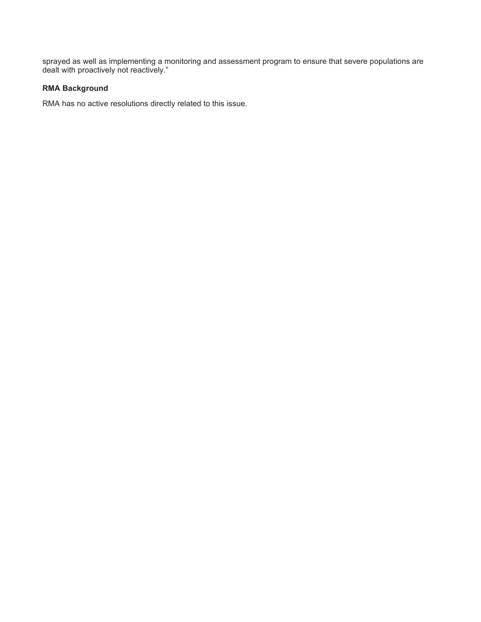sprayed as well as implementing a monitoring and assessment program to ensure that severe populations are dealt with proactively not reactively."

# **RMA Background**

RMA has no active resolutions directly related to this issue.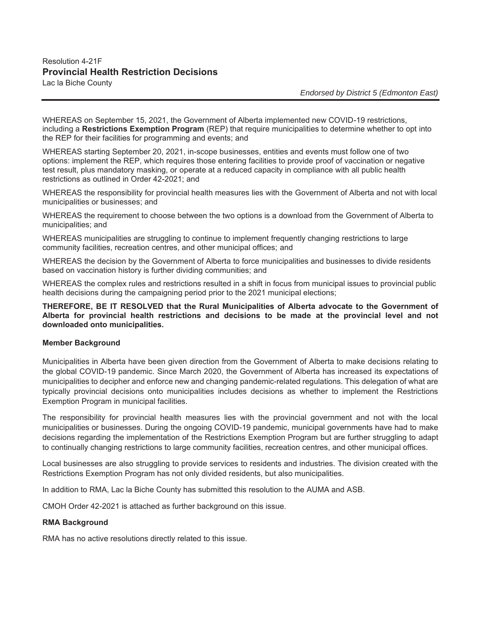# Resolution 4-21F **Provincial Health Restriction Decisions**  Lac la Biche County

*Endorsed by District 5 (Edmonton East)* 

WHEREAS on September 15, 2021, the Government of Alberta implemented new COVID-19 restrictions, including a **Restrictions Exemption Program** (REP) that require municipalities to determine whether to opt into the REP for their facilities for programming and events; and

WHEREAS starting September 20, 2021, in-scope businesses, entities and events must follow one of two options: implement the REP, which requires those entering facilities to provide proof of vaccination or negative test result, plus mandatory masking, or operate at a reduced capacity in compliance with all public health restrictions as outlined in Order 42-2021; and

WHEREAS the responsibility for provincial health measures lies with the Government of Alberta and not with local municipalities or businesses; and

WHEREAS the requirement to choose between the two options is a download from the Government of Alberta to municipalities; and

WHEREAS municipalities are struggling to continue to implement frequently changing restrictions to large community facilities, recreation centres, and other municipal offices; and

WHEREAS the decision by the Government of Alberta to force municipalities and businesses to divide residents based on vaccination history is further dividing communities; and

WHEREAS the complex rules and restrictions resulted in a shift in focus from municipal issues to provincial public health decisions during the campaigning period prior to the 2021 municipal elections;

**THEREFORE, BE IT RESOLVED that the Rural Municipalities of Alberta advocate to the Government of Alberta for provincial health restrictions and decisions to be made at the provincial level and not downloaded onto municipalities.** 

#### **Member Background**

Municipalities in Alberta have been given direction from the Government of Alberta to make decisions relating to the global COVID-19 pandemic. Since March 2020, the Government of Alberta has increased its expectations of municipalities to decipher and enforce new and changing pandemic-related regulations. This delegation of what are typically provincial decisions onto municipalities includes decisions as whether to implement the Restrictions Exemption Program in municipal facilities.

The responsibility for provincial health measures lies with the provincial government and not with the local municipalities or businesses. During the ongoing COVID-19 pandemic, municipal governments have had to make decisions regarding the implementation of the Restrictions Exemption Program but are further struggling to adapt to continually changing restrictions to large community facilities, recreation centres, and other municipal offices.

Local businesses are also struggling to provide services to residents and industries. The division created with the Restrictions Exemption Program has not only divided residents, but also municipalities.

In addition to RMA, Lac la Biche County has submitted this resolution to the AUMA and ASB.

CMOH Order 42-2021 is attached as further background on this issue.

#### **RMA Background**

RMA has no active resolutions directly related to this issue.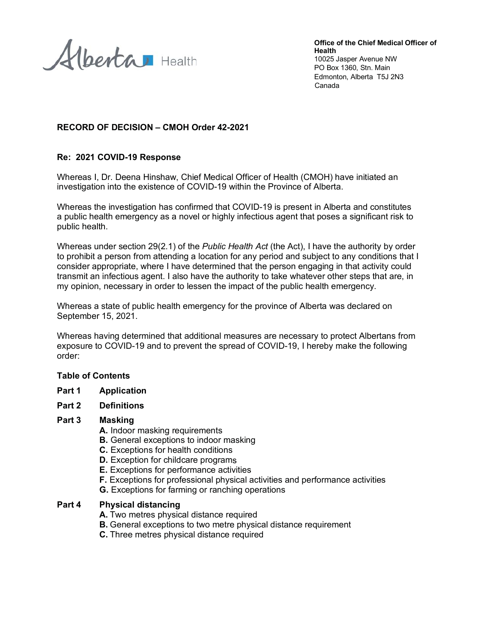Alberta Health

Office of the Chief Medical Officer of **Health** 10025 Jasper Avenue NW PO Box 1360, Stn. Main Edmonton, Alberta T5J 2N3 Canada

# RECORD OF DECISION - CMOH Order 42-2021

## Re: 2021 COVID-19 Response

Whereas I, Dr. Deena Hinshaw, Chief Medical Officer of Health (CMOH) have initiated an investigation into the existence of COVID-19 within the Province of Alberta.

Whereas the investigation has confirmed that COVID-19 is present in Alberta and constitutes a public health emergency as a novel or highly infectious agent that poses a significant risk to public health.

Whereas under section 29(2.1) of the Public Health Act (the Act), I have the authority by order to prohibit a person from attending a location for any period and subject to any conditions that I consider appropriate, where I have determined that the person engaging in that activity could transmit an infectious agent. I also have the authority to take whatever other steps that are, in my opinion, necessary in order to lessen the impact of the public health emergency.

Whereas a state of public health emergency for the province of Alberta was declared on September 15, 2021.

Whereas having determined that additional measures are necessary to protect Albertans from exposure to COVID-19 and to prevent the spread of COVID-19. I hereby make the following order:

#### **Table of Contents**

Part 1 **Application** 

#### Part 2 **Definitions**

#### Part 3 **Masking**

- A. Indoor masking requirements
- **B.** General exceptions to indoor masking
- **C.** Exceptions for health conditions
- **D.** Exception for childcare programs
- E. Exceptions for performance activities
- F. Exceptions for professional physical activities and performance activities
- **G.** Exceptions for farming or ranching operations

#### Part 4 **Physical distancing**

- A. Two metres physical distance required
- **B.** General exceptions to two metre physical distance requirement
- C. Three metres physical distance required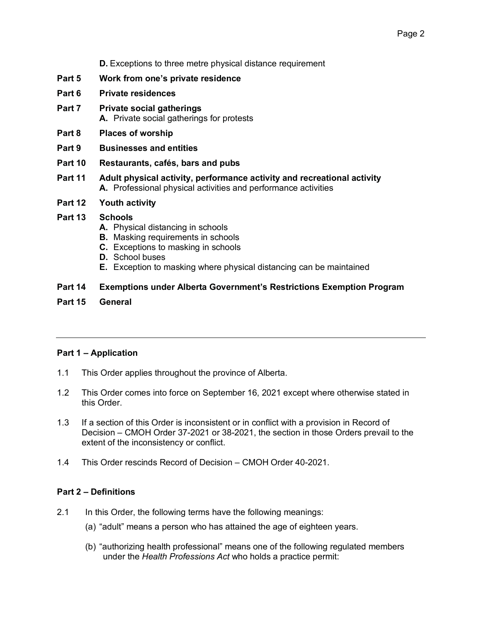**D.** Exceptions to three metre physical distance requirement

- Part 5 Work from one's private residence
- Part 6 **Private residences**
- Part 7 **Private social gatherings** A. Private social gatherings for protests
- Part 8 **Places of worship**
- Part 9 **Businesses and entities**
- Part 10 Restaurants, cafés, bars and pubs
- Part 11 Adult physical activity, performance activity and recreational activity A. Professional physical activities and performance activities
- Part 12 **Youth activity**
- **Part 13 Schools** 
	- A. Physical distancing in schools
	- **B.** Masking requirements in schools
	- C. Exceptions to masking in schools
	- **D.** School buses
	- E. Exception to masking where physical distancing can be maintained

Part 14 **Exemptions under Alberta Government's Restrictions Exemption Program** 

Part 15 General

# **Part 1 - Application**

- $1.1$ This Order applies throughout the province of Alberta.
- $1.2$ This Order comes into force on September 16, 2021 except where otherwise stated in this Order.
- $1.3$ If a section of this Order is inconsistent or in conflict with a provision in Record of Decision - CMOH Order 37-2021 or 38-2021, the section in those Orders prevail to the extent of the inconsistency or conflict.
- $1.4$ This Order rescinds Record of Decision - CMOH Order 40-2021.

# **Part 2 - Definitions**

- $21$ In this Order, the following terms have the following meanings:
	- (a) "adult" means a person who has attained the age of eighteen years.
	- (b) "authorizing health professional" means one of the following regulated members under the Health Professions Act who holds a practice permit: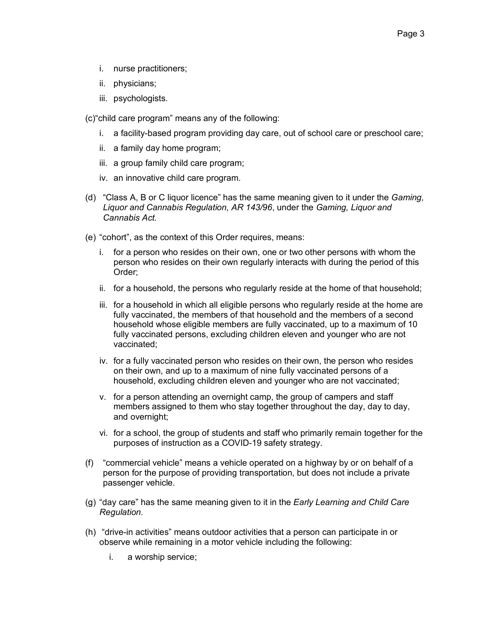- i. nurse practitioners:
- ii. physicians;
- iii. psychologists.
- (c) "child care program" means any of the following:
	- i. a facility-based program providing day care, out of school care or preschool care;
	- ii. a family day home program;
	- iii. a group family child care program;
	- iv. an innovative child care program.
- (d) "Class A, B or C liquor licence" has the same meaning given to it under the Gaming, Liquor and Cannabis Regulation, AR 143/96, under the Gaming, Liquor and Cannabis Act.
- (e) "cohort", as the context of this Order requires, means:
	- i. for a person who resides on their own, one or two other persons with whom the person who resides on their own regularly interacts with during the period of this Order;
	- ii. for a household, the persons who regularly reside at the home of that household;
	- iii. for a household in which all eligible persons who regularly reside at the home are fully vaccinated, the members of that household and the members of a second household whose eligible members are fully vaccinated, up to a maximum of 10 fully vaccinated persons, excluding children eleven and younger who are not vaccinated:
	- iv. for a fully vaccinated person who resides on their own, the person who resides on their own, and up to a maximum of nine fully vaccinated persons of a household, excluding children eleven and younger who are not vaccinated;
	- v. for a person attending an overnight camp, the group of campers and staff members assigned to them who stay together throughout the day, day to day, and overnight:
	- vi. for a school, the group of students and staff who primarily remain together for the purposes of instruction as a COVID-19 safety strategy.
- "commercial vehicle" means a vehicle operated on a highway by or on behalf of a  $(f)$ person for the purpose of providing transportation, but does not include a private passenger vehicle.
- (g) "day care" has the same meaning given to it in the Early Learning and Child Care Regulation.
- (h) "drive-in activities" means outdoor activities that a person can participate in or observe while remaining in a motor vehicle including the following:
	- i. a worship service;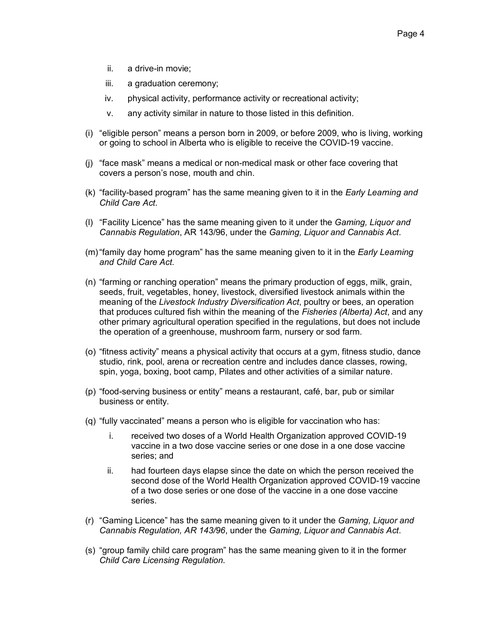- ii. a drive-in movie:
- iii. a graduation ceremony;
- iv. physical activity, performance activity or recreational activity;
- any activity similar in nature to those listed in this definition. V.
- (i) "eligible person" means a person born in 2009, or before 2009, who is living, working or going to school in Alberta who is eligible to receive the COVID-19 vaccine.
- (j) "face mask" means a medical or non-medical mask or other face covering that covers a person's nose, mouth and chin.
- (k) "facility-based program" has the same meaning given to it in the *Early Learning and* Child Care Act.
- (I) "Facility Licence" has the same meaning given to it under the Gaming, Liquor and Cannabis Regulation, AR 143/96, under the Gaming, Liquor and Cannabis Act.
- (m) "family day home program" has the same meaning given to it in the *Early Learning* and Child Care Act
- (n) "farming or ranching operation" means the primary production of eggs, milk, grain, seeds, fruit, vegetables, honey, livestock, diversified livestock animals within the meaning of the Livestock Industry Diversification Act, poultry or bees, an operation that produces cultured fish within the meaning of the Fisheries (Alberta) Act, and any other primary agricultural operation specified in the regulations, but does not include the operation of a greenhouse, mushroom farm, nursery or sod farm.
- (o) "fitness activity" means a physical activity that occurs at a gym, fitness studio, dance studio, rink, pool, arena or recreation centre and includes dance classes, rowing, spin, yoga, boxing, boot camp, Pilates and other activities of a similar nature.
- (p) "food-serving business or entity" means a restaurant, café, bar, pub or similar business or entity.
- (q) "fully vaccinated" means a person who is eligible for vaccination who has:
	- i. received two doses of a World Health Organization approved COVID-19 vaccine in a two dose vaccine series or one dose in a one dose vaccine series: and
	- ii. had fourteen days elapse since the date on which the person received the second dose of the World Health Organization approved COVID-19 vaccine of a two dose series or one dose of the vaccine in a one dose vaccine series.
- (r) "Gaming Licence" has the same meaning given to it under the Gaming, Liquor and Cannabis Regulation, AR 143/96, under the Gaming, Liquor and Cannabis Act.
- (s) "group family child care program" has the same meaning given to it in the former Child Care Licensing Regulation.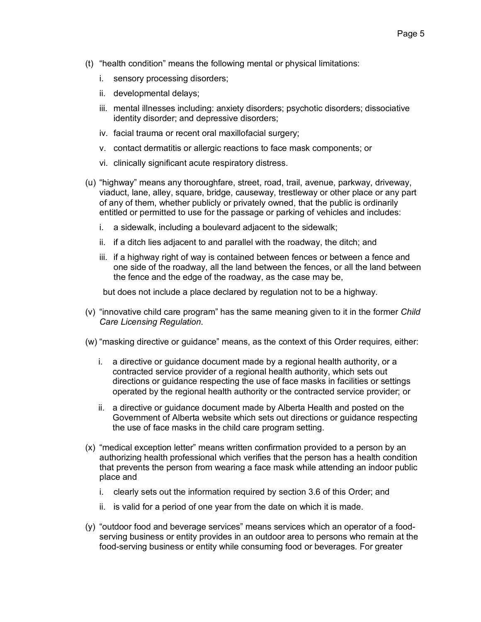- (t) "health condition" means the following mental or physical limitations:
	- i. sensory processing disorders;
	- ii. developmental delays;
	- iii. mental illnesses including: anxiety disorders; psychotic disorders; dissociative identity disorder; and depressive disorders;
	- iv. facial trauma or recent oral maxillofacial surgery;
	- v. contact dermatitis or allergic reactions to face mask components; or
	- vi. clinically significant acute respiratory distress.
- (u) "highway" means any thoroughfare, street, road, trail, avenue, parkway, driveway, viaduct, lane, alley, square, bridge, causeway, trestleway or other place or any part of any of them, whether publicly or privately owned, that the public is ordinarily entitled or permitted to use for the passage or parking of vehicles and includes:
	- i. a sidewalk, including a boulevard adjacent to the sidewalk;
	- ii. if a ditch lies adjacent to and parallel with the roadway, the ditch; and
	- iii. if a highway right of way is contained between fences or between a fence and one side of the roadway, all the land between the fences, or all the land between the fence and the edge of the roadway, as the case may be,

but does not include a place declared by regulation not to be a highway.

- (v) "innovative child care program" has the same meaning given to it in the former Child Care Licensing Regulation.
- (w) "masking directive or guidance" means, as the context of this Order requires, either:
	- i. a directive or guidance document made by a regional health authority, or a contracted service provider of a regional health authority, which sets out directions or guidance respecting the use of face masks in facilities or settings operated by the regional health authority or the contracted service provider; or
	- ii. a directive or guidance document made by Alberta Health and posted on the Government of Alberta website which sets out directions or guidance respecting the use of face masks in the child care program setting.
- (x) "medical exception letter" means written confirmation provided to a person by an authorizing health professional which verifies that the person has a health condition that prevents the person from wearing a face mask while attending an indoor public place and
	- i. clearly sets out the information required by section 3.6 of this Order; and
	- ii. is valid for a period of one year from the date on which it is made.
- (y) "outdoor food and beverage services" means services which an operator of a foodserving business or entity provides in an outdoor area to persons who remain at the food-serving business or entity while consuming food or beverages. For greater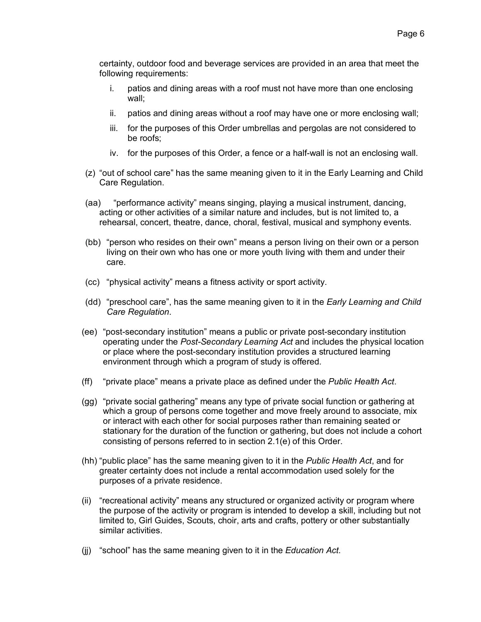certainty, outdoor food and beverage services are provided in an area that meet the following requirements:

- i. patios and dining areas with a roof must not have more than one enclosing wall:
- patios and dining areas without a roof may have one or more enclosing wall; ii.
- iii. for the purposes of this Order umbrellas and pergolas are not considered to be roofs:
- iv. for the purposes of this Order, a fence or a half-wall is not an enclosing wall.
- (z) "out of school care" has the same meaning given to it in the Early Learning and Child Care Regulation.
- "performance activity" means singing, playing a musical instrument, dancing, (aa) acting or other activities of a similar nature and includes, but is not limited to, a rehearsal, concert, theatre, dance, choral, festival, musical and symphony events.
- (bb) "person who resides on their own" means a person living on their own or a person living on their own who has one or more youth living with them and under their care
- (cc) "physical activity" means a fitness activity or sport activity.
- (dd) "preschool care", has the same meaning given to it in the *Early Learning and Child* Care Regulation.
- (ee) "post-secondary institution" means a public or private post-secondary institution operating under the Post-Secondary Learning Act and includes the physical location or place where the post-secondary institution provides a structured learning environment through which a program of study is offered.
- (ff) "private place" means a private place as defined under the Public Health Act.
- (gg) "private social gathering" means any type of private social function or gathering at which a group of persons come together and move freely around to associate, mix or interact with each other for social purposes rather than remaining seated or stationary for the duration of the function or gathering, but does not include a cohort consisting of persons referred to in section 2.1(e) of this Order.
- (hh) "public place" has the same meaning given to it in the Public Health Act, and for greater certainty does not include a rental accommodation used solely for the purposes of a private residence.
- (ii) "recreational activity" means any structured or organized activity or program where the purpose of the activity or program is intended to develop a skill, including but not limited to, Girl Guides, Scouts, choir, arts and crafts, pottery or other substantially similar activities.
- (ii) "school" has the same meaning given to it in the Education Act.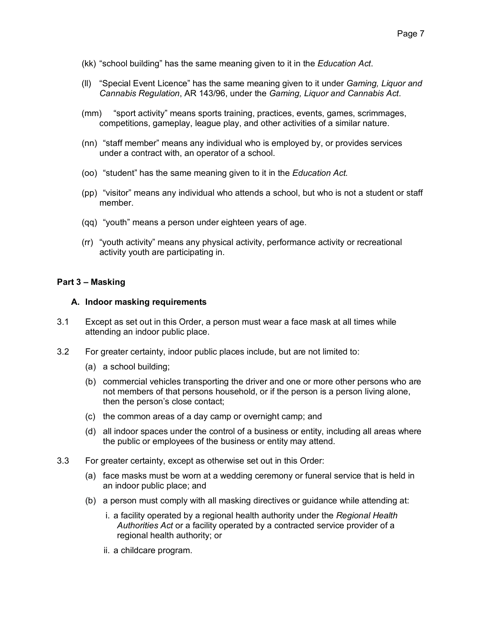- (kk) "school building" has the same meaning given to it in the *Education Act*.
- (II) "Special Event Licence" has the same meaning given to it under Gaming, Liquor and Cannabis Regulation, AR 143/96, under the Gaming, Liquor and Cannabis Act.
- "sport activity" means sports training, practices, events, games, scrimmages,  $(mm)$ competitions, gameplay, league play, and other activities of a similar nature.
- (nn) "staff member" means any individual who is employed by, or provides services under a contract with, an operator of a school.
- (oo) "student" has the same meaning given to it in the Education Act.
- (pp) "visitor" means any individual who attends a school, but who is not a student or staff member.
- (qq) "youth" means a person under eighteen years of age.
- (rr) "youth activity" means any physical activity, performance activity or recreational activity youth are participating in.

# Part 3 - Masking

#### A. Indoor masking requirements

- $3.1$ Except as set out in this Order, a person must wear a face mask at all times while attending an indoor public place.
- $3.2$ For greater certainty, indoor public places include, but are not limited to:
	- (a) a school building;
	- (b) commercial vehicles transporting the driver and one or more other persons who are not members of that persons household, or if the person is a person living alone, then the person's close contact;
	- (c) the common areas of a day camp or overnight camp; and
	- (d) all indoor spaces under the control of a business or entity, including all areas where the public or employees of the business or entity may attend.
- $3.3$ For greater certainty, except as otherwise set out in this Order:
	- (a) face masks must be worn at a wedding ceremony or funeral service that is held in an indoor public place; and
	- (b) a person must comply with all masking directives or guidance while attending at:
		- i. a facility operated by a regional health authority under the Regional Health Authorities Act or a facility operated by a contracted service provider of a regional health authority; or
		- ii. a childcare program.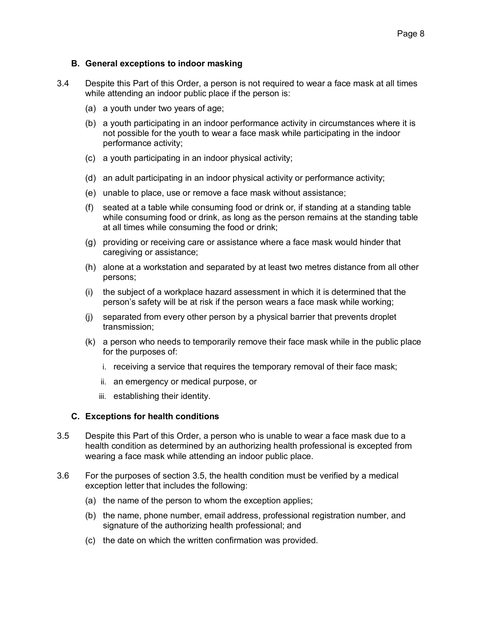# B. General exceptions to indoor masking

- $3.4$ Despite this Part of this Order, a person is not required to wear a face mask at all times while attending an indoor public place if the person is:
	- (a) a youth under two years of age;
	- (b) a youth participating in an indoor performance activity in circumstances where it is not possible for the youth to wear a face mask while participating in the indoor performance activity;
	- (c) a youth participating in an indoor physical activity;
	- (d) an adult participating in an indoor physical activity or performance activity;
	- (e) unable to place, use or remove a face mask without assistance;
	- (f) seated at a table while consuming food or drink or, if standing at a standing table while consuming food or drink, as long as the person remains at the standing table at all times while consuming the food or drink;
	- (g) providing or receiving care or assistance where a face mask would hinder that caregiving or assistance:
	- (h) alone at a workstation and separated by at least two metres distance from all other persons:
	- (i) the subject of a workplace hazard assessment in which it is determined that the person's safety will be at risk if the person wears a face mask while working;
	- (i) separated from every other person by a physical barrier that prevents droplet transmission;
	- (k) a person who needs to temporarily remove their face mask while in the public place for the purposes of:
		- i. receiving a service that requires the temporary removal of their face mask;
		- ii. an emergency or medical purpose, or
		- iii. establishing their identity.

# **C.** Exceptions for health conditions

- $3.5$ Despite this Part of this Order, a person who is unable to wear a face mask due to a health condition as determined by an authorizing health professional is excepted from wearing a face mask while attending an indoor public place.
- $3.6$ For the purposes of section 3.5, the health condition must be verified by a medical exception letter that includes the following:
	- (a) the name of the person to whom the exception applies;
	- (b) the name, phone number, email address, professional registration number, and signature of the authorizing health professional; and
	- (c) the date on which the written confirmation was provided.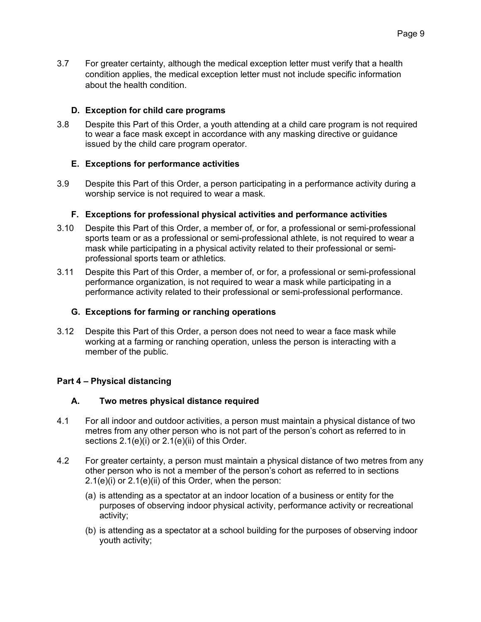$3.7$ For greater certainty, although the medical exception letter must verify that a health condition applies, the medical exception letter must not include specific information about the health condition.

# D. Exception for child care programs

 $3.8$ Despite this Part of this Order, a youth attending at a child care program is not required to wear a face mask except in accordance with any masking directive or guidance issued by the child care program operator.

# E. Exceptions for performance activities

 $3.9$ Despite this Part of this Order, a person participating in a performance activity during a worship service is not required to wear a mask.

## F. Exceptions for professional physical activities and performance activities

- $3.10$ Despite this Part of this Order, a member of, or for, a professional or semi-professional sports team or as a professional or semi-professional athlete, is not required to wear a mask while participating in a physical activity related to their professional or semiprofessional sports team or athletics.
- $3.11$ Despite this Part of this Order, a member of, or for, a professional or semi-professional performance organization, is not required to wear a mask while participating in a performance activity related to their professional or semi-professional performance.

#### G. Exceptions for farming or ranching operations

 $3.12$ Despite this Part of this Order, a person does not need to wear a face mask while working at a farming or ranching operation, unless the person is interacting with a member of the public.

# Part 4 - Physical distancing

#### А. Two metres physical distance required

- $4.1$ For all indoor and outdoor activities, a person must maintain a physical distance of two metres from any other person who is not part of the person's cohort as referred to in sections 2.1(e)(i) or 2.1(e)(ii) of this Order.
- 42 For greater certainty, a person must maintain a physical distance of two metres from any other person who is not a member of the person's cohort as referred to in sections  $2.1(e)(i)$  or  $2.1(e)(ii)$  of this Order, when the person:
	- (a) is attending as a spectator at an indoor location of a business or entity for the purposes of observing indoor physical activity, performance activity or recreational activity;
	- (b) is attending as a spectator at a school building for the purposes of observing indoor youth activity;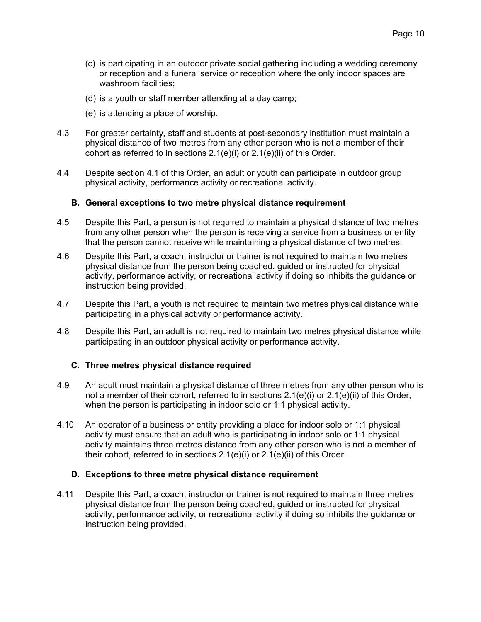- (c) is participating in an outdoor private social gathering including a wedding ceremony or reception and a funeral service or reception where the only indoor spaces are washroom facilities:
- (d) is a youth or staff member attending at a day camp;
- (e) is attending a place of worship.
- $4.3$ For greater certainty, staff and students at post-secondary institution must maintain a physical distance of two metres from any other person who is not a member of their cohort as referred to in sections  $2.1(e)(i)$  or  $2.1(e)(ii)$  of this Order.
- $4.4$ Despite section 4.1 of this Order, an adult or youth can participate in outdoor group physical activity, performance activity or recreational activity.

## B. General exceptions to two metre physical distance requirement

- 4.5 Despite this Part, a person is not required to maintain a physical distance of two metres from any other person when the person is receiving a service from a business or entity that the person cannot receive while maintaining a physical distance of two metres.
- 4.6 Despite this Part, a coach, instructor or trainer is not required to maintain two metres physical distance from the person being coached, guided or instructed for physical activity, performance activity, or recreational activity if doing so inhibits the guidance or instruction being provided.
- 4.7 Despite this Part, a youth is not required to maintain two metres physical distance while participating in a physical activity or performance activity.
- 4.8 Despite this Part, an adult is not required to maintain two metres physical distance while participating in an outdoor physical activity or performance activity.

#### C. Three metres physical distance required

- 4.9 An adult must maintain a physical distance of three metres from any other person who is not a member of their cohort, referred to in sections 2.1(e)(i) or 2.1(e)(ii) of this Order, when the person is participating in indoor solo or 1:1 physical activity.
- 4.10 An operator of a business or entity providing a place for indoor solo or 1:1 physical activity must ensure that an adult who is participating in indoor solo or 1:1 physical activity maintains three metres distance from any other person who is not a member of their cohort, referred to in sections  $2.1(e)(i)$  or  $2.1(e)(ii)$  of this Order.

#### D. Exceptions to three metre physical distance requirement

4.11 Despite this Part, a coach, instructor or trainer is not required to maintain three metres physical distance from the person being coached, guided or instructed for physical activity, performance activity, or recreational activity if doing so inhibits the guidance or instruction being provided.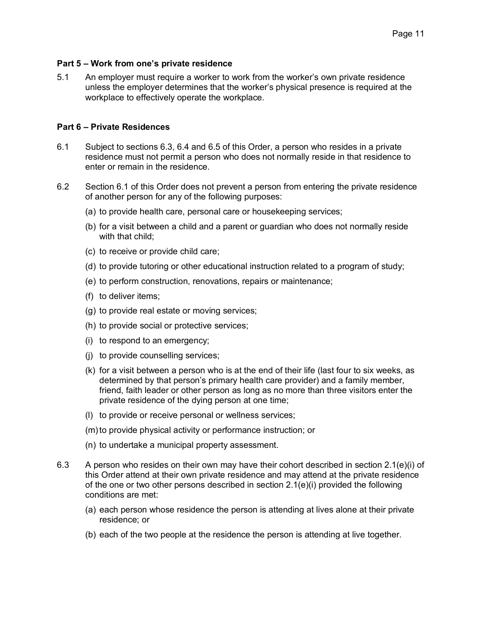### Part 5 – Work from one's private residence

 $5.1$ An employer must require a worker to work from the worker's own private residence unless the employer determines that the worker's physical presence is required at the workplace to effectively operate the workplace.

# Part 6 - Private Residences

- Subject to sections 6.3, 6.4 and 6.5 of this Order, a person who resides in a private  $6.1$ residence must not permit a person who does not normally reside in that residence to enter or remain in the residence
- $6.2$ Section 6.1 of this Order does not prevent a person from entering the private residence of another person for any of the following purposes:
	- (a) to provide health care, personal care or housekeeping services;
	- (b) for a visit between a child and a parent or guardian who does not normally reside with that child:
	- (c) to receive or provide child care;
	- (d) to provide tutoring or other educational instruction related to a program of study;
	- (e) to perform construction, renovations, repairs or maintenance;
	- (f) to deliver items;
	- (g) to provide real estate or moving services;
	- (h) to provide social or protective services;
	- (i) to respond to an emergency;
	- (i) to provide counselling services;
	- (k) for a visit between a person who is at the end of their life (last four to six weeks, as determined by that person's primary health care provider) and a family member, friend, faith leader or other person as long as no more than three visitors enter the private residence of the dying person at one time;
	- (I) to provide or receive personal or wellness services;
	- (m) to provide physical activity or performance instruction; or
	- (n) to undertake a municipal property assessment.
- 6.3 A person who resides on their own may have their cohort described in section  $2.1(e)(i)$  of this Order attend at their own private residence and may attend at the private residence of the one or two other persons described in section  $2.1(e)(i)$  provided the following conditions are met:
	- (a) each person whose residence the person is attending at lives alone at their private residence: or
	- (b) each of the two people at the residence the person is attending at live together.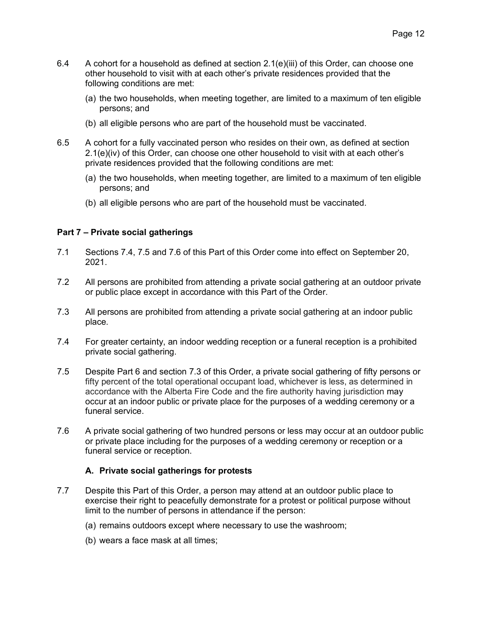- 6.4 A cohort for a household as defined at section 2.1(e)(iii) of this Order, can choose one other household to visit with at each other's private residences provided that the following conditions are met:
	- (a) the two households, when meeting together, are limited to a maximum of ten eligible persons; and
	- (b) all eligible persons who are part of the household must be vaccinated.
- 6.5 A cohort for a fully vaccinated person who resides on their own, as defined at section 2.1(e)(iv) of this Order, can choose one other household to visit with at each other's private residences provided that the following conditions are met:
	- (a) the two households, when meeting together, are limited to a maximum of ten eligible persons; and
	- (b) all eligible persons who are part of the household must be vaccinated.

# Part 7 - Private social gatherings

- $71$ Sections 7.4, 7.5 and 7.6 of this Part of this Order come into effect on September 20,  $2021$
- $7.2$ All persons are prohibited from attending a private social gathering at an outdoor private or public place except in accordance with this Part of the Order.
- $7.3$ All persons are prohibited from attending a private social gathering at an indoor public place.
- $7.4$ For greater certainty, an indoor wedding reception or a funeral reception is a prohibited private social gathering.
- $7.5$ Despite Part 6 and section 7.3 of this Order, a private social gathering of fifty persons or fifty percent of the total operational occupant load, whichever is less, as determined in accordance with the Alberta Fire Code and the fire authority having jurisdiction may occur at an indoor public or private place for the purposes of a wedding ceremony or a funeral service.
- 7.6 A private social gathering of two hundred persons or less may occur at an outdoor public or private place including for the purposes of a wedding ceremony or reception or a funeral service or reception.

# A. Private social gatherings for protests

- $7.7$ Despite this Part of this Order, a person may attend at an outdoor public place to exercise their right to peacefully demonstrate for a protest or political purpose without limit to the number of persons in attendance if the person:
	- (a) remains outdoors except where necessary to use the washroom;
	- (b) wears a face mask at all times;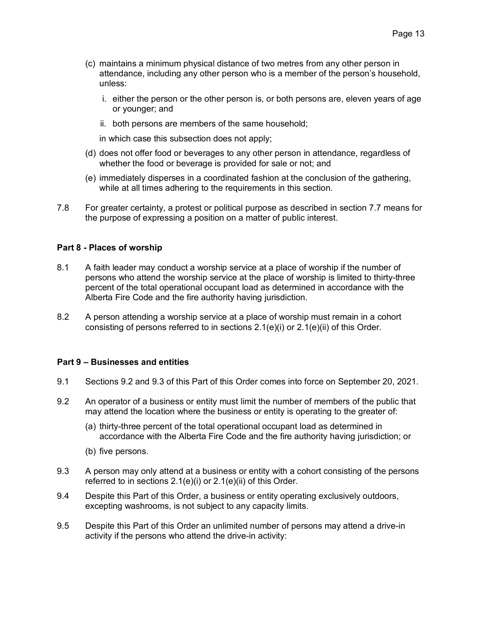- (c) maintains a minimum physical distance of two metres from any other person in attendance, including any other person who is a member of the person's household, unless:
	- i. either the person or the other person is, or both persons are, eleven years of age or younger; and
	- ii. both persons are members of the same household;

in which case this subsection does not apply;

- (d) does not offer food or beverages to any other person in attendance, regardless of whether the food or beverage is provided for sale or not; and
- (e) immediately disperses in a coordinated fashion at the conclusion of the gathering. while at all times adhering to the requirements in this section.
- $7.8$ For greater certainty, a protest or political purpose as described in section 7.7 means for the purpose of expressing a position on a matter of public interest.

#### Part 8 - Places of worship

- $8.1$ A faith leader may conduct a worship service at a place of worship if the number of persons who attend the worship service at the place of worship is limited to thirty-three percent of the total operational occupant load as determined in accordance with the Alberta Fire Code and the fire authority having jurisdiction.
- 82 A person attending a worship service at a place of worship must remain in a cohort consisting of persons referred to in sections  $2.1(e)(i)$  or  $2.1(e)(ii)$  of this Order.

#### Part 9 - Businesses and entities

- $9.1$ Sections 9.2 and 9.3 of this Part of this Order comes into force on September 20, 2021.
- 9.2 An operator of a business or entity must limit the number of members of the public that may attend the location where the business or entity is operating to the greater of:
	- (a) thirty-three percent of the total operational occupant load as determined in accordance with the Alberta Fire Code and the fire authority having jurisdiction; or
	- (b) five persons.
- 9.3 A person may only attend at a business or entity with a cohort consisting of the persons referred to in sections 2.1(e)(i) or 2.1(e)(ii) of this Order.
- 9.4 Despite this Part of this Order, a business or entity operating exclusively outdoors, excepting washrooms, is not subject to any capacity limits.
- 9.5 Despite this Part of this Order an unlimited number of persons may attend a drive-in activity if the persons who attend the drive-in activity: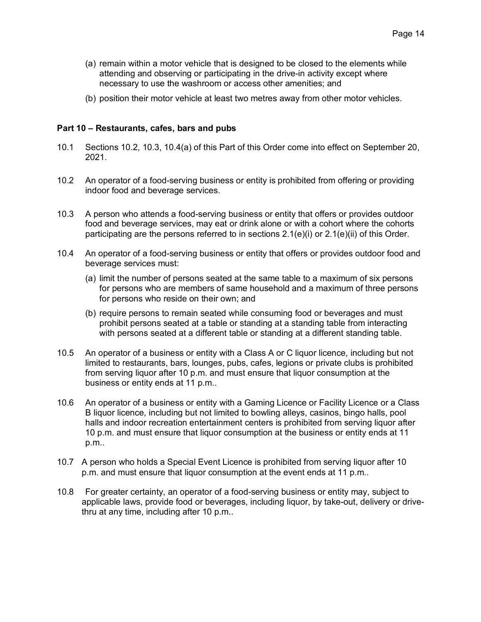- (a) remain within a motor vehicle that is designed to be closed to the elements while attending and observing or participating in the drive-in activity except where necessary to use the washroom or access other amenities; and
- (b) position their motor vehicle at least two metres away from other motor vehicles.

### Part 10 – Restaurants, cafes, bars and pubs

- $10.1$ Sections 10.2, 10.3, 10.4(a) of this Part of this Order come into effect on September 20,  $2021$
- $10.2$ An operator of a food-serving business or entity is prohibited from offering or providing indoor food and beverage services.
- $10.3$ A person who attends a food-serving business or entity that offers or provides outdoor food and beverage services, may eat or drink alone or with a cohort where the cohorts participating are the persons referred to in sections 2.1(e)(i) or 2.1(e)(ii) of this Order.
- $10.4$ An operator of a food-serving business or entity that offers or provides outdoor food and beverage services must:
	- (a) limit the number of persons seated at the same table to a maximum of six persons for persons who are members of same household and a maximum of three persons for persons who reside on their own; and
	- (b) require persons to remain seated while consuming food or beverages and must prohibit persons seated at a table or standing at a standing table from interacting with persons seated at a different table or standing at a different standing table.
- $10.5$ An operator of a business or entity with a Class A or C liquor licence, including but not limited to restaurants, bars, lounges, pubs, cafes, legions or private clubs is prohibited from serving liquor after 10 p.m. and must ensure that liquor consumption at the business or entity ends at 11 p.m..
- $10.6$ An operator of a business or entity with a Gaming Licence or Facility Licence or a Class B liquor licence, including but not limited to bowling alleys, casinos, bingo halls, pool halls and indoor recreation entertainment centers is prohibited from serving liquor after 10 p.m. and must ensure that liquor consumption at the business or entity ends at 11 p.m..
- 10.7 A person who holds a Special Event Licence is prohibited from serving liquor after 10 p.m. and must ensure that liquor consumption at the event ends at 11 p.m..
- 10.8 For greater certainty, an operator of a food-serving business or entity may, subject to applicable laws, provide food or beverages, including liguor, by take-out, delivery or drivethru at any time, including after 10 p.m..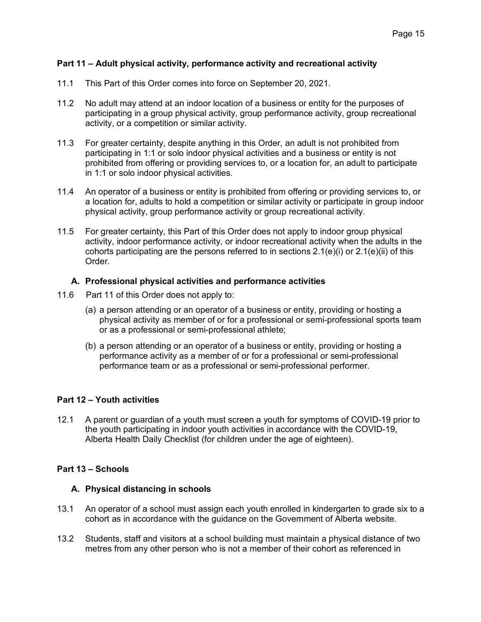### Part 11 – Adult physical activity, performance activity and recreational activity

- $11.1$ This Part of this Order comes into force on September 20, 2021.
- $11.2$ No adult may attend at an indoor location of a business or entity for the purposes of participating in a group physical activity, group performance activity, group recreational activity, or a competition or similar activity.
- $11.3$ For greater certainty, despite anything in this Order, an adult is not prohibited from participating in 1:1 or solo indoor physical activities and a business or entity is not prohibited from offering or providing services to, or a location for, an adult to participate in 1:1 or solo indoor physical activities.
- $11.4$ An operator of a business or entity is prohibited from offering or providing services to, or a location for, adults to hold a competition or similar activity or participate in group indoor physical activity, group performance activity or group recreational activity.
- $11.5$ For greater certainty, this Part of this Order does not apply to indoor group physical activity, indoor performance activity, or indoor recreational activity when the adults in the cohorts participating are the persons referred to in sections  $2.1(e)(i)$  or  $2.1(e)(ii)$  of this Order.

#### A. Professional physical activities and performance activities

- Part 11 of this Order does not apply to:  $11.6$ 
	- (a) a person attending or an operator of a business or entity, providing or hosting a physical activity as member of or for a professional or semi-professional sports team or as a professional or semi-professional athlete:
	- (b) a person attending or an operator of a business or entity, providing or hosting a performance activity as a member of or for a professional or semi-professional performance team or as a professional or semi-professional performer.

# Part 12 - Youth activities

A parent or quardian of a youth must screen a youth for symptoms of COVID-19 prior to  $12.1$ the youth participating in indoor youth activities in accordance with the COVID-19, Alberta Health Daily Checklist (for children under the age of eighteen).

#### Part 13 - Schools

#### A. Physical distancing in schools

- $13.1$ An operator of a school must assign each youth enrolled in kindergarten to grade six to a cohort as in accordance with the guidance on the Government of Alberta website.
- $13.2$ Students, staff and visitors at a school building must maintain a physical distance of two metres from any other person who is not a member of their cohort as referenced in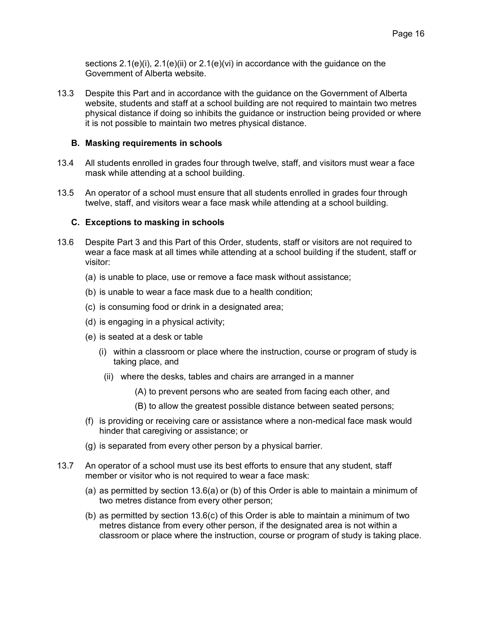sections  $2.1(e)(i)$ ,  $2.1(e)(ii)$  or  $2.1(e)(vi)$  in accordance with the guidance on the Government of Alberta website.

13.3 Despite this Part and in accordance with the guidance on the Government of Alberta website, students and staff at a school building are not required to maintain two metres physical distance if doing so inhibits the quidance or instruction being provided or where it is not possible to maintain two metres physical distance.

#### **B.** Masking requirements in schools

- 13.4 All students enrolled in grades four through twelve, staff, and visitors must wear a face mask while attending at a school building.
- 13.5 An operator of a school must ensure that all students enrolled in grades four through twelve, staff, and visitors wear a face mask while attending at a school building.

#### C. Exceptions to masking in schools

- $13.6$ Despite Part 3 and this Part of this Order, students, staff or visitors are not required to wear a face mask at all times while attending at a school building if the student, staff or visitor<sup>.</sup>
	- (a) is unable to place, use or remove a face mask without assistance;
	- (b) is unable to wear a face mask due to a health condition;
	- (c) is consuming food or drink in a designated area;
	- (d) is engaging in a physical activity;
	- (e) is seated at a desk or table
		- (i) within a classroom or place where the instruction, course or program of study is taking place, and
		- (ii) where the desks, tables and chairs are arranged in a manner
			- (A) to prevent persons who are seated from facing each other, and
			- (B) to allow the greatest possible distance between seated persons;
	- (f) is providing or receiving care or assistance where a non-medical face mask would hinder that caregiving or assistance; or
	- (g) is separated from every other person by a physical barrier.
- $13.7$ An operator of a school must use its best efforts to ensure that any student, staff member or visitor who is not required to wear a face mask:
	- (a) as permitted by section  $13.6(a)$  or (b) of this Order is able to maintain a minimum of two metres distance from every other person;
	- (b) as permitted by section  $13.6(c)$  of this Order is able to maintain a minimum of two metres distance from every other person, if the designated area is not within a classroom or place where the instruction, course or program of study is taking place.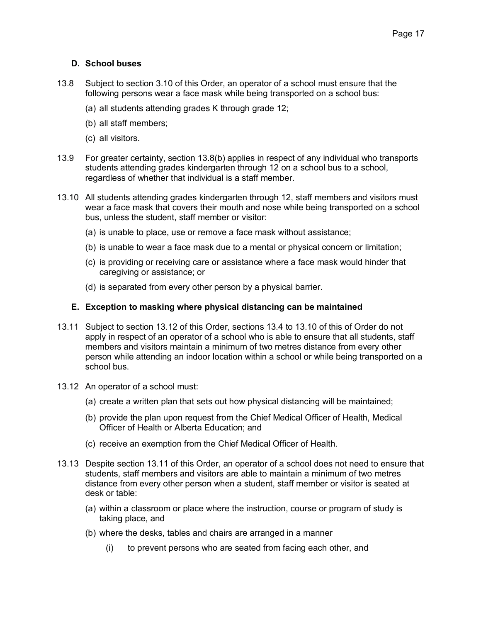# **D.** School buses

- $13.8$ Subject to section 3.10 of this Order, an operator of a school must ensure that the following persons wear a face mask while being transported on a school bus:
	- (a) all students attending grades K through grade 12;
	- (b) all staff members;
	- (c) all visitors.
- 13.9 For greater certainty, section 13.8(b) applies in respect of any individual who transports students attending grades kindergarten through 12 on a school bus to a school, regardless of whether that individual is a staff member.
- 13.10 All students attending grades kindergarten through 12, staff members and visitors must wear a face mask that covers their mouth and nose while being transported on a school bus, unless the student, staff member or visitor:
	- (a) is unable to place, use or remove a face mask without assistance;
	- (b) is unable to wear a face mask due to a mental or physical concern or limitation;
	- (c) is providing or receiving care or assistance where a face mask would hinder that caregiving or assistance; or
	- (d) is separated from every other person by a physical barrier.

# E. Exception to masking where physical distancing can be maintained

- 13.11 Subject to section 13.12 of this Order, sections 13.4 to 13.10 of this of Order do not apply in respect of an operator of a school who is able to ensure that all students, staff members and visitors maintain a minimum of two metres distance from every other person while attending an indoor location within a school or while being transported on a school bus.
- 13.12 An operator of a school must:
	- (a) create a written plan that sets out how physical distancing will be maintained;
	- (b) provide the plan upon request from the Chief Medical Officer of Health, Medical Officer of Health or Alberta Education: and
	- (c) receive an exemption from the Chief Medical Officer of Health.
- 13.13 Despite section 13.11 of this Order, an operator of a school does not need to ensure that students, staff members and visitors are able to maintain a minimum of two metres distance from every other person when a student, staff member or visitor is seated at desk or table:
	- (a) within a classroom or place where the instruction, course or program of study is taking place, and
	- (b) where the desks, tables and chairs are arranged in a manner
		- $(i)$ to prevent persons who are seated from facing each other, and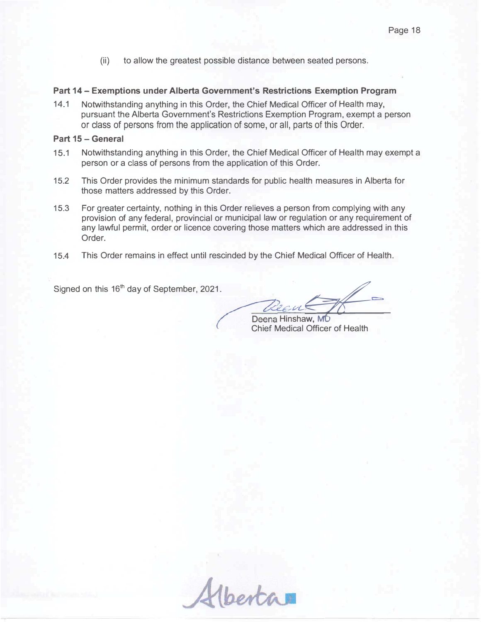$(ii)$ to allow the greatest possible distance between seated persons.

### Part 14 – Exemptions under Alberta Government's Restrictions Exemption Program

14.1 Notwithstanding anything in this Order, the Chief Medical Officer of Health may, pursuant the Alberta Government's Restrictions Exemption Program, exempt a person or class of persons from the application of some, or all, parts of this Order.

#### **Part 15 – General**

- 15.1 Notwithstanding anything in this Order, the Chief Medical Officer of Health may exempt a person or a class of persons from the application of this Order.
- 15.2 This Order provides the minimum standards for public health measures in Alberta for those matters addressed by this Order.
- 15.3 For greater certainty, nothing in this Order relieves a person from complying with any provision of any federal, provincial or municipal law or regulation or any requirement of any lawful permit, order or licence covering those matters which are addressed in this Order.
- 15.4 This Order remains in effect until rescinded by the Chief Medical Officer of Health.

Signed on this 16<sup>th</sup> day of September, 2021.

ŋ  $ewC$ ren Hinshaw, MD \_\_\_

Chief Medical Officer of Health

Hberta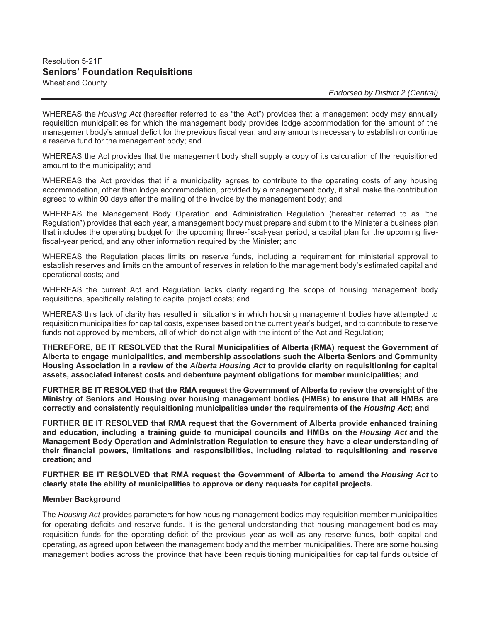# Resolution 5-21F **Seniors' Foundation Requisitions** Wheatland County

WHEREAS the *Housing Act* (hereafter referred to as "the Act") provides that a management body may annually requisition municipalities for which the management body provides lodge accommodation for the amount of the management body's annual deficit for the previous fiscal year, and any amounts necessary to establish or continue a reserve fund for the management body; and

WHEREAS the Act provides that the management body shall supply a copy of its calculation of the requisitioned amount to the municipality; and

WHEREAS the Act provides that if a municipality agrees to contribute to the operating costs of any housing accommodation, other than lodge accommodation, provided by a management body, it shall make the contribution agreed to within 90 days after the mailing of the invoice by the management body; and

WHEREAS the Management Body Operation and Administration Regulation (hereafter referred to as "the Regulation") provides that each year, a management body must prepare and submit to the Minister a business plan that includes the operating budget for the upcoming three-fiscal-year period, a capital plan for the upcoming fivefiscal-year period, and any other information required by the Minister; and

WHEREAS the Regulation places limits on reserve funds, including a requirement for ministerial approval to establish reserves and limits on the amount of reserves in relation to the management body's estimated capital and operational costs; and

WHEREAS the current Act and Regulation lacks clarity regarding the scope of housing management body requisitions, specifically relating to capital project costs; and

WHEREAS this lack of clarity has resulted in situations in which housing management bodies have attempted to requisition municipalities for capital costs, expenses based on the current year's budget, and to contribute to reserve funds not approved by members, all of which do not align with the intent of the Act and Regulation;

**THEREFORE, BE IT RESOLVED that the Rural Municipalities of Alberta (RMA) request the Government of Alberta to engage municipalities, and membership associations such the Alberta Seniors and Community Housing Association in a review of the** *Alberta Housing Act* **to provide clarity on requisitioning for capital assets, associated interest costs and debenture payment obligations for member municipalities; and** 

**FURTHER BE IT RESOLVED that the RMA request the Government of Alberta to review the oversight of the Ministry of Seniors and Housing over housing management bodies (HMBs) to ensure that all HMBs are correctly and consistently requisitioning municipalities under the requirements of the** *Housing Act***; and** 

**FURTHER BE IT RESOLVED that RMA request that the Government of Alberta provide enhanced training and education, including a training guide to municipal councils and HMBs on the** *Housing Act* **and the Management Body Operation and Administration Regulation to ensure they have a clear understanding of their financial powers, limitations and responsibilities, including related to requisitioning and reserve creation; and** 

**FURTHER BE IT RESOLVED that RMA request the Government of Alberta to amend the** *Housing Act* **to clearly state the ability of municipalities to approve or deny requests for capital projects.** 

#### **Member Background**

The *Housing Act* provides parameters for how housing management bodies may requisition member municipalities for operating deficits and reserve funds. It is the general understanding that housing management bodies may requisition funds for the operating deficit of the previous year as well as any reserve funds, both capital and operating, as agreed upon between the management body and the member municipalities. There are some housing management bodies across the province that have been requisitioning municipalities for capital funds outside of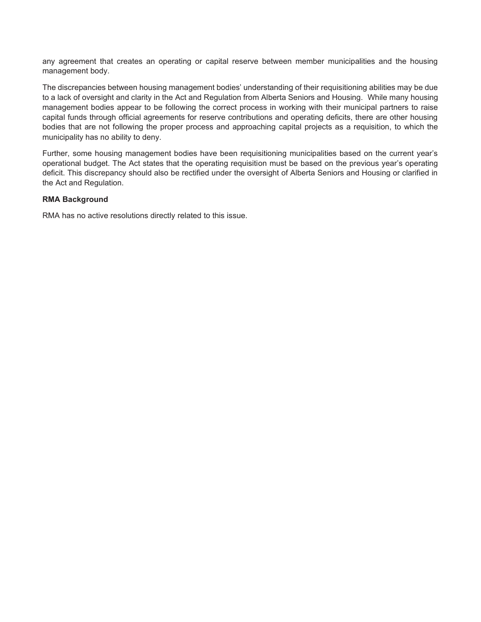any agreement that creates an operating or capital reserve between member municipalities and the housing management body.

The discrepancies between housing management bodies' understanding of their requisitioning abilities may be due to a lack of oversight and clarity in the Act and Regulation from Alberta Seniors and Housing. While many housing management bodies appear to be following the correct process in working with their municipal partners to raise capital funds through official agreements for reserve contributions and operating deficits, there are other housing bodies that are not following the proper process and approaching capital projects as a requisition, to which the municipality has no ability to deny.

Further, some housing management bodies have been requisitioning municipalities based on the current year's operational budget. The Act states that the operating requisition must be based on the previous year's operating deficit. This discrepancy should also be rectified under the oversight of Alberta Seniors and Housing or clarified in the Act and Regulation.

#### **RMA Background**

RMA has no active resolutions directly related to this issue.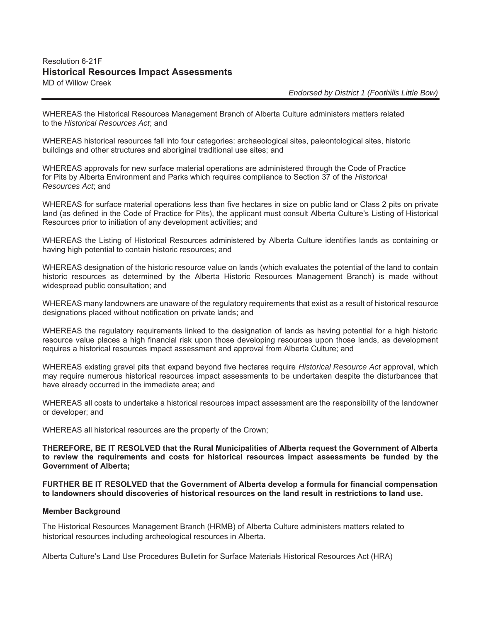# Resolution 6-21F **Historical Resources Impact Assessments**  MD of Willow Creek

*Endorsed by District 1 (Foothills Little Bow)*

WHEREAS the Historical Resources Management Branch of Alberta Culture administers matters related to the *Historical Resources Act*; and

WHEREAS historical resources fall into four categories: archaeological sites, paleontological sites, historic buildings and other structures and aboriginal traditional use sites; and

WHEREAS approvals for new surface material operations are administered through the Code of Practice for Pits by Alberta Environment and Parks which requires compliance to Section 37 of the *Historical Resources Act*; and

WHEREAS for surface material operations less than five hectares in size on public land or Class 2 pits on private land (as defined in the Code of Practice for Pits), the applicant must consult Alberta Culture's Listing of Historical Resources prior to initiation of any development activities; and

WHEREAS the Listing of Historical Resources administered by Alberta Culture identifies lands as containing or having high potential to contain historic resources; and

WHEREAS designation of the historic resource value on lands (which evaluates the potential of the land to contain historic resources as determined by the Alberta Historic Resources Management Branch) is made without widespread public consultation; and

WHEREAS many landowners are unaware of the regulatory requirements that exist as a result of historical resource designations placed without notification on private lands; and

WHEREAS the regulatory requirements linked to the designation of lands as having potential for a high historic resource value places a high financial risk upon those developing resources upon those lands, as development requires a historical resources impact assessment and approval from Alberta Culture; and

WHEREAS existing gravel pits that expand beyond five hectares require *Historical Resource Act* approval, which may require numerous historical resources impact assessments to be undertaken despite the disturbances that have already occurred in the immediate area; and

WHEREAS all costs to undertake a historical resources impact assessment are the responsibility of the landowner or developer; and

WHEREAS all historical resources are the property of the Crown;

**THEREFORE, BE IT RESOLVED that the Rural Municipalities of Alberta request the Government of Alberta to review the requirements and costs for historical resources impact assessments be funded by the Government of Alberta;** 

**FURTHER BE IT RESOLVED that the Government of Alberta develop a formula for financial compensation to landowners should discoveries of historical resources on the land result in restrictions to land use.** 

#### **Member Background**

The Historical Resources Management Branch (HRMB) of Alberta Culture administers matters related to historical resources including archeological resources in Alberta.

Alberta Culture's Land Use Procedures Bulletin for Surface Materials Historical Resources Act (HRA)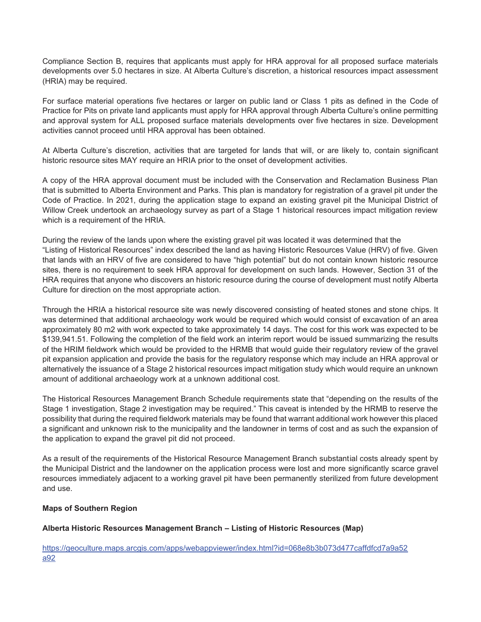Compliance Section B, requires that applicants must apply for HRA approval for all proposed surface materials developments over 5.0 hectares in size. At Alberta Culture's discretion, a historical resources impact assessment (HRIA) may be required.

For surface material operations five hectares or larger on public land or Class 1 pits as defined in the Code of Practice for Pits on private land applicants must apply for HRA approval through Alberta Culture's online permitting and approval system for ALL proposed surface materials developments over five hectares in size. Development activities cannot proceed until HRA approval has been obtained.

At Alberta Culture's discretion, activities that are targeted for lands that will, or are likely to, contain significant historic resource sites MAY require an HRIA prior to the onset of development activities.

A copy of the HRA approval document must be included with the Conservation and Reclamation Business Plan that is submitted to Alberta Environment and Parks. This plan is mandatory for registration of a gravel pit under the Code of Practice. In 2021, during the application stage to expand an existing gravel pit the Municipal District of Willow Creek undertook an archaeology survey as part of a Stage 1 historical resources impact mitigation review which is a requirement of the HRIA.

During the review of the lands upon where the existing gravel pit was located it was determined that the "Listing of Historical Resources" index described the land as having Historic Resources Value (HRV) of five. Given that lands with an HRV of five are considered to have "high potential" but do not contain known historic resource sites, there is no requirement to seek HRA approval for development on such lands. However, Section 31 of the HRA requires that anyone who discovers an historic resource during the course of development must notify Alberta Culture for direction on the most appropriate action.

Through the HRIA a historical resource site was newly discovered consisting of heated stones and stone chips. It was determined that additional archaeology work would be required which would consist of excavation of an area approximately 80 m2 with work expected to take approximately 14 days. The cost for this work was expected to be \$139,941.51. Following the completion of the field work an interim report would be issued summarizing the results of the HRIM fieldwork which would be provided to the HRMB that would guide their regulatory review of the gravel pit expansion application and provide the basis for the regulatory response which may include an HRA approval or alternatively the issuance of a Stage 2 historical resources impact mitigation study which would require an unknown amount of additional archaeology work at a unknown additional cost.

The Historical Resources Management Branch Schedule requirements state that "depending on the results of the Stage 1 investigation, Stage 2 investigation may be required." This caveat is intended by the HRMB to reserve the possibility that during the required fieldwork materials may be found that warrant additional work however this placed a significant and unknown risk to the municipality and the landowner in terms of cost and as such the expansion of the application to expand the gravel pit did not proceed.

As a result of the requirements of the Historical Resource Management Branch substantial costs already spent by the Municipal District and the landowner on the application process were lost and more significantly scarce gravel resources immediately adjacent to a working gravel pit have been permanently sterilized from future development and use.

#### **Maps of Southern Region**

#### **Alberta Historic Resources Management Branch – Listing of Historic Resources (Map)**

https://geoculture.maps.arcgis.com/apps/webappviewer/index.html?id=068e8b3b073d477caffdfcd7a9a52 a92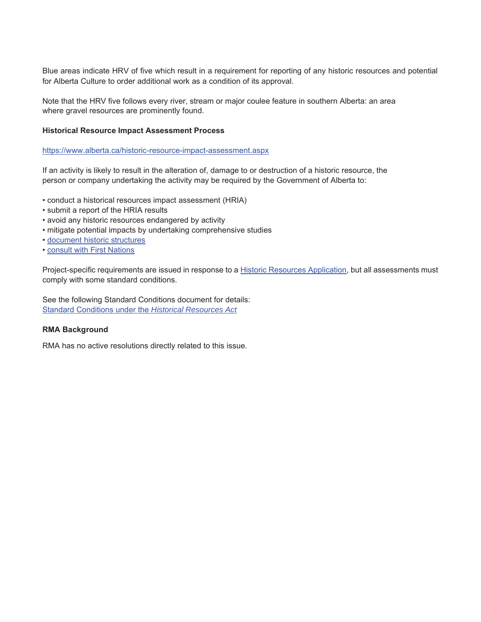Blue areas indicate HRV of five which result in a requirement for reporting of any historic resources and potential for Alberta Culture to order additional work as a condition of its approval.

Note that the HRV five follows every river, stream or major coulee feature in southern Alberta: an area where gravel resources are prominently found.

#### **Historical Resource Impact Assessment Process**

https://www.alberta.ca/historic-resource-impact-assessment.aspx

If an activity is likely to result in the alteration of, damage to or destruction of a historic resource, the person or company undertaking the activity may be required by the Government of Alberta to:

- conduct a historical resources impact assessment (HRIA)
- submit a report of the HRIA results
- avoid any historic resources endangered by activity
- mitigate potential impacts by undertaking comprehensive studies
- document historic structures
- consult with First Nations

Project-specific requirements are issued in response to a Historic Resources Application, but all assessments must comply with some standard conditions.

See the following Standard Conditions document for details: Standard Conditions under the *Historical Resources Act*

#### **RMA Background**

RMA has no active resolutions directly related to this issue.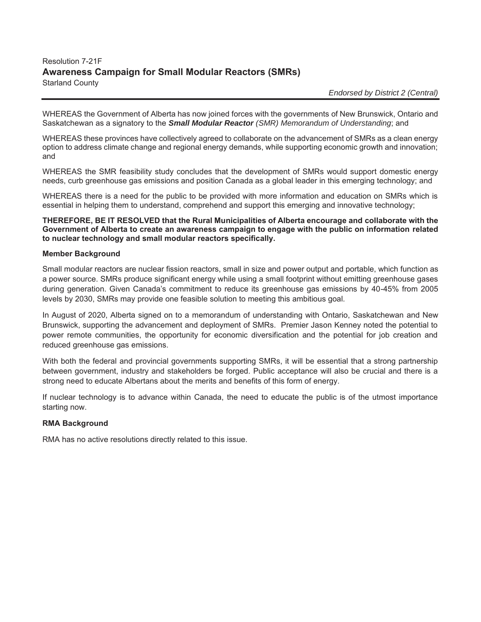# Resolution 7-21F **Awareness Campaign for Small Modular Reactors (SMRs)**  Starland County

 *Endorsed by District 2 (Central)*

WHEREAS the Government of Alberta has now joined forces with the governments of New Brunswick, Ontario and Saskatchewan as a signatory to the *Small Modular Reactor (SMR) Memorandum of Understanding*; and

WHEREAS these provinces have collectively agreed to collaborate on the advancement of SMRs as a clean energy option to address climate change and regional energy demands, while supporting economic growth and innovation; and

WHEREAS the SMR feasibility study concludes that the development of SMRs would support domestic energy needs, curb greenhouse gas emissions and position Canada as a global leader in this emerging technology; and

WHEREAS there is a need for the public to be provided with more information and education on SMRs which is essential in helping them to understand, comprehend and support this emerging and innovative technology;

**THEREFORE, BE IT RESOLVED that the Rural Municipalities of Alberta encourage and collaborate with the Government of Alberta to create an awareness campaign to engage with the public on information related to nuclear technology and small modular reactors specifically.** 

#### **Member Background**

Small modular reactors are nuclear fission reactors, small in size and power output and portable, which function as a power source. SMRs produce significant energy while using a small footprint without emitting greenhouse gases during generation. Given Canada's commitment to reduce its greenhouse gas emissions by 40-45% from 2005 levels by 2030, SMRs may provide one feasible solution to meeting this ambitious goal.

In August of 2020, Alberta signed on to a memorandum of understanding with Ontario, Saskatchewan and New Brunswick, supporting the advancement and deployment of SMRs. Premier Jason Kenney noted the potential to power remote communities, the opportunity for economic diversification and the potential for job creation and reduced greenhouse gas emissions.

With both the federal and provincial governments supporting SMRs, it will be essential that a strong partnership between government, industry and stakeholders be forged. Public acceptance will also be crucial and there is a strong need to educate Albertans about the merits and benefits of this form of energy.

If nuclear technology is to advance within Canada, the need to educate the public is of the utmost importance starting now.

#### **RMA Background**

RMA has no active resolutions directly related to this issue.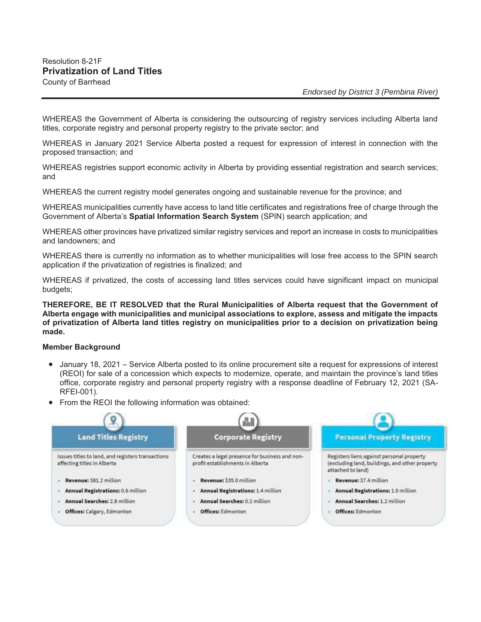WHEREAS the Government of Alberta is considering the outsourcing of registry services including Alberta land titles, corporate registry and personal property registry to the private sector; and

WHEREAS in January 2021 Service Alberta posted a request for expression of interest in connection with the proposed transaction; and

WHEREAS registries support economic activity in Alberta by providing essential registration and search services; and

WHEREAS the current registry model generates ongoing and sustainable revenue for the province; and

WHEREAS municipalities currently have access to land title certificates and registrations free of charge through the Government of Alberta's **Spatial Information Search System** (SPIN) search application; and

WHEREAS other provinces have privatized similar registry services and report an increase in costs to municipalities and landowners; and

WHEREAS there is currently no information as to whether municipalities will lose free access to the SPIN search application if the privatization of registries is finalized; and

WHEREAS if privatized, the costs of accessing land titles services could have significant impact on municipal budgets;

**THEREFORE, BE IT RESOLVED that the Rural Municipalities of Alberta request that the Government of Alberta engage with municipalities and municipal associations to explore, assess and mitigate the impacts of privatization of Alberta land titles registry on municipalities prior to a decision on privatization being made.** 

#### **Member Background**

- January 18, 2021 Service Alberta posted to its online procurement site a request for expressions of interest (REOI) for sale of a concession which expects to modernize, operate, and maintain the province's land titles office, corporate registry and personal property registry with a response deadline of February 12, 2021 (SA-RFEI-001).
- From the REOI the following information was obtained:

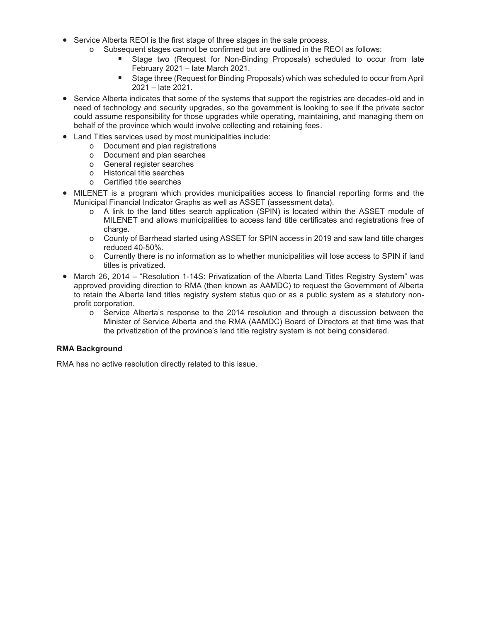- Service Alberta REOI is the first stage of three stages in the sale process.
	- o Subsequent stages cannot be confirmed but are outlined in the REOI as follows:
		- Stage two (Request for Non-Binding Proposals) scheduled to occur from late February 2021 – late March 2021.
		- Stage three (Request for Binding Proposals) which was scheduled to occur from April 2021 – late 2021.
- Service Alberta indicates that some of the systems that support the registries are decades-old and in need of technology and security upgrades, so the government is looking to see if the private sector could assume responsibility for those upgrades while operating, maintaining, and managing them on behalf of the province which would involve collecting and retaining fees.
- Land Titles services used by most municipalities include:
	- o Document and plan registrations
	- o Document and plan searches
	- o General register searches
	- o Historical title searches
	- o Certified title searches
- MILENET is a program which provides municipalities access to financial reporting forms and the Municipal Financial Indicator Graphs as well as ASSET (assessment data).
	- o A link to the land titles search application (SPIN) is located within the ASSET module of MILENET and allows municipalities to access land title certificates and registrations free of charge.
	- o County of Barrhead started using ASSET for SPIN access in 2019 and saw land title charges reduced 40-50%.
	- o Currently there is no information as to whether municipalities will lose access to SPIN if land titles is privatized.
- March 26, 2014 "Resolution 1-14S: Privatization of the Alberta Land Titles Registry System" was approved providing direction to RMA (then known as AAMDC) to request the Government of Alberta to retain the Alberta land titles registry system status quo or as a public system as a statutory nonprofit corporation.
	- o Service Alberta's response to the 2014 resolution and through a discussion between the Minister of Service Alberta and the RMA (AAMDC) Board of Directors at that time was that the privatization of the province's land title registry system is not being considered.

#### **RMA Background**

RMA has no active resolution directly related to this issue.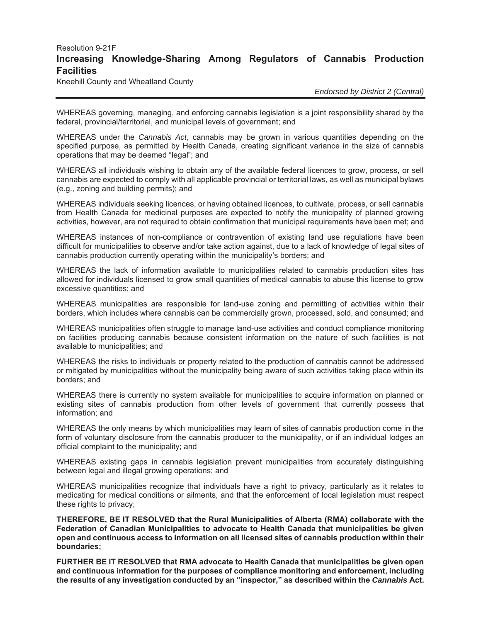# Resolution 9-21F **Increasing Knowledge-Sharing Among Regulators of Cannabis Production Facilities**

Kneehill County and Wheatland County

 *Endorsed by District 2 (Central)*

WHEREAS governing, managing, and enforcing cannabis legislation is a joint responsibility shared by the federal, provincial/territorial, and municipal levels of government; and

WHEREAS under the *Cannabis Act*, cannabis may be grown in various quantities depending on the specified purpose, as permitted by Health Canada, creating significant variance in the size of cannabis operations that may be deemed "legal"; and

WHEREAS all individuals wishing to obtain any of the available federal licences to grow, process, or sell cannabis are expected to comply with all applicable provincial or territorial laws, as well as municipal bylaws (e.g., zoning and building permits); and

WHEREAS individuals seeking licences, or having obtained licences, to cultivate, process, or sell cannabis from Health Canada for medicinal purposes are expected to notify the municipality of planned growing activities, however, are not required to obtain confirmation that municipal requirements have been met; and

WHEREAS instances of non-compliance or contravention of existing land use regulations have been difficult for municipalities to observe and/or take action against, due to a lack of knowledge of legal sites of cannabis production currently operating within the municipality's borders; and

WHEREAS the lack of information available to municipalities related to cannabis production sites has allowed for individuals licensed to grow small quantities of medical cannabis to abuse this license to grow excessive quantities; and

WHEREAS municipalities are responsible for land-use zoning and permitting of activities within their borders, which includes where cannabis can be commercially grown, processed, sold, and consumed; and

WHEREAS municipalities often struggle to manage land-use activities and conduct compliance monitoring on facilities producing cannabis because consistent information on the nature of such facilities is not available to municipalities; and

WHEREAS the risks to individuals or property related to the production of cannabis cannot be addressed or mitigated by municipalities without the municipality being aware of such activities taking place within its borders; and

WHEREAS there is currently no system available for municipalities to acquire information on planned or existing sites of cannabis production from other levels of government that currently possess that information; and

WHEREAS the only means by which municipalities may learn of sites of cannabis production come in the form of voluntary disclosure from the cannabis producer to the municipality, or if an individual lodges an official complaint to the municipality; and

WHEREAS existing gaps in cannabis legislation prevent municipalities from accurately distinguishing between legal and illegal growing operations; and

WHEREAS municipalities recognize that individuals have a right to privacy, particularly as it relates to medicating for medical conditions or ailments, and that the enforcement of local legislation must respect these rights to privacy;

**THEREFORE, BE IT RESOLVED that the Rural Municipalities of Alberta (RMA) collaborate with the Federation of Canadian Municipalities to advocate to Health Canada that municipalities be given open and continuous access to information on all licensed sites of cannabis production within their boundaries;** 

**FURTHER BE IT RESOLVED that RMA advocate to Health Canada that municipalities be given open and continuous information for the purposes of compliance monitoring and enforcement, including the results of any investigation conducted by an "inspector," as described within the** *Cannabis* **Act.**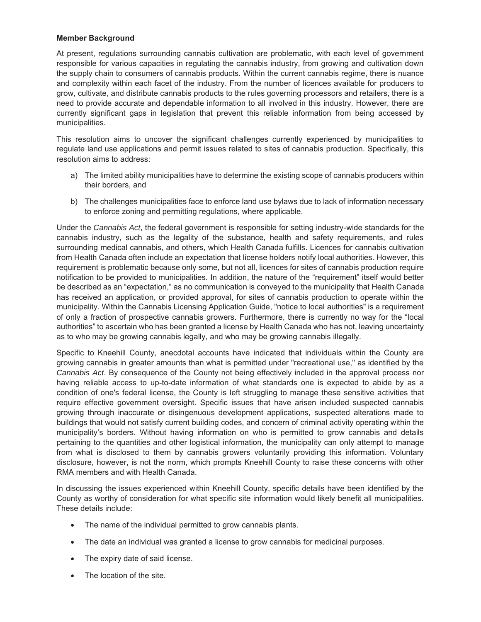#### **Member Background**

At present, regulations surrounding cannabis cultivation are problematic, with each level of government responsible for various capacities in regulating the cannabis industry, from growing and cultivation down the supply chain to consumers of cannabis products. Within the current cannabis regime, there is nuance and complexity within each facet of the industry. From the number of licences available for producers to grow, cultivate, and distribute cannabis products to the rules governing processors and retailers, there is a need to provide accurate and dependable information to all involved in this industry. However, there are currently significant gaps in legislation that prevent this reliable information from being accessed by municipalities.

This resolution aims to uncover the significant challenges currently experienced by municipalities to regulate land use applications and permit issues related to sites of cannabis production. Specifically, this resolution aims to address:

- a) The limited ability municipalities have to determine the existing scope of cannabis producers within their borders, and
- b) The challenges municipalities face to enforce land use bylaws due to lack of information necessary to enforce zoning and permitting regulations, where applicable.

Under the *Cannabis Act*, the federal government is responsible for setting industry-wide standards for the cannabis industry, such as the legality of the substance, health and safety requirements, and rules surrounding medical cannabis, and others, which Health Canada fulfills. Licences for cannabis cultivation from Health Canada often include an expectation that license holders notify local authorities. However, this requirement is problematic because only some, but not all, licences for sites of cannabis production require notification to be provided to municipalities. In addition, the nature of the "requirement" itself would better be described as an "expectation," as no communication is conveyed to the municipality that Health Canada has received an application, or provided approval, for sites of cannabis production to operate within the municipality. Within the Cannabis Licensing Application Guide, "notice to local authorities" is a requirement of only a fraction of prospective cannabis growers. Furthermore, there is currently no way for the "local authorities" to ascertain who has been granted a license by Health Canada who has not, leaving uncertainty as to who may be growing cannabis legally, and who may be growing cannabis illegally.

Specific to Kneehill County, anecdotal accounts have indicated that individuals within the County are growing cannabis in greater amounts than what is permitted under "recreational use," as identified by the *Cannabis Act*. By consequence of the County not being effectively included in the approval process nor having reliable access to up-to-date information of what standards one is expected to abide by as a condition of one's federal license, the County is left struggling to manage these sensitive activities that require effective government oversight. Specific issues that have arisen included suspected cannabis growing through inaccurate or disingenuous development applications, suspected alterations made to buildings that would not satisfy current building codes, and concern of criminal activity operating within the municipality's borders. Without having information on who is permitted to grow cannabis and details pertaining to the quantities and other logistical information, the municipality can only attempt to manage from what is disclosed to them by cannabis growers voluntarily providing this information. Voluntary disclosure, however, is not the norm, which prompts Kneehill County to raise these concerns with other RMA members and with Health Canada.

In discussing the issues experienced within Kneehill County, specific details have been identified by the County as worthy of consideration for what specific site information would likely benefit all municipalities. These details include:

- The name of the individual permitted to grow cannabis plants.
- The date an individual was granted a license to grow cannabis for medicinal purposes.
- The expiry date of said license.
- The location of the site.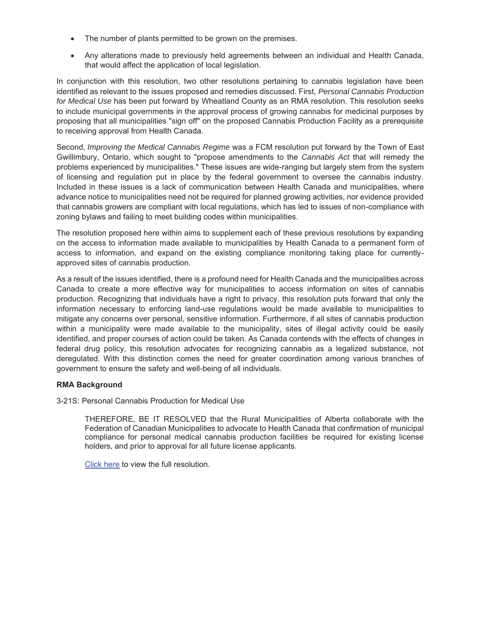- The number of plants permitted to be grown on the premises.
- Any alterations made to previously held agreements between an individual and Health Canada, that would affect the application of local legislation.

In conjunction with this resolution, two other resolutions pertaining to cannabis legislation have been identified as relevant to the issues proposed and remedies discussed. First*, Personal Cannabis Production for Medical Use* has been put forward by Wheatland County as an RMA resolution. This resolution seeks to include municipal governments in the approval process of growing cannabis for medicinal purposes by proposing that all municipalities "sign off" on the proposed Cannabis Production Facility as a prerequisite to receiving approval from Health Canada.

Second, *Improving the Medical Cannabis Regime* was a FCM resolution put forward by the Town of East Gwillimbury, Ontario, which sought to "propose amendments to the *Cannabis Act* that will remedy the problems experienced by municipalities." These issues are wide-ranging but largely stem from the system of licensing and regulation put in place by the federal government to oversee the cannabis industry. Included in these issues is a lack of communication between Health Canada and municipalities, where advance notice to municipalities need not be required for planned growing activities, nor evidence provided that cannabis growers are compliant with local regulations, which has led to issues of non-compliance with zoning bylaws and failing to meet building codes within municipalities.

The resolution proposed here within aims to supplement each of these previous resolutions by expanding on the access to information made available to municipalities by Health Canada to a permanent form of access to information, and expand on the existing compliance monitoring taking place for currentlyapproved sites of cannabis production.

As a result of the issues identified, there is a profound need for Health Canada and the municipalities across Canada to create a more effective way for municipalities to access information on sites of cannabis production. Recognizing that individuals have a right to privacy, this resolution puts forward that only the information necessary to enforcing land-use regulations would be made available to municipalities to mitigate any concerns over personal, sensitive information. Furthermore, if all sites of cannabis production within a municipality were made available to the municipality, sites of illegal activity could be easily identified, and proper courses of action could be taken. As Canada contends with the effects of changes in federal drug policy, this resolution advocates for recognizing cannabis as a legalized substance, not deregulated. With this distinction comes the need for greater coordination among various branches of government to ensure the safety and well-being of all individuals.

#### **RMA Background**

3-21S: Personal Cannabis Production for Medical Use

THEREFORE, BE IT RESOLVED that the Rural Municipalities of Alberta collaborate with the Federation of Canadian Municipalities to advocate to Health Canada that confirmation of municipal compliance for personal medical cannabis production facilities be required for existing license holders, and prior to approval for all future license applicants.

Click here to view the full resolution.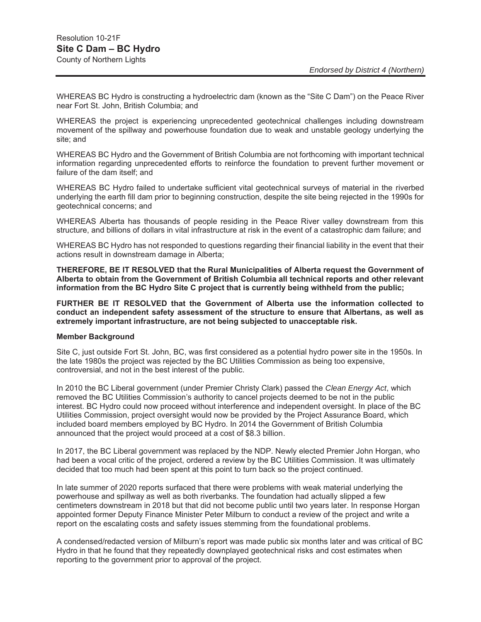WHEREAS BC Hydro is constructing a hydroelectric dam (known as the "Site C Dam") on the Peace River near Fort St. John, British Columbia; and

WHEREAS the project is experiencing unprecedented geotechnical challenges including downstream movement of the spillway and powerhouse foundation due to weak and unstable geology underlying the site; and

WHEREAS BC Hydro and the Government of British Columbia are not forthcoming with important technical information regarding unprecedented efforts to reinforce the foundation to prevent further movement or failure of the dam itself; and

WHEREAS BC Hydro failed to undertake sufficient vital geotechnical surveys of material in the riverbed underlying the earth fill dam prior to beginning construction, despite the site being rejected in the 1990s for geotechnical concerns; and

WHEREAS Alberta has thousands of people residing in the Peace River valley downstream from this structure, and billions of dollars in vital infrastructure at risk in the event of a catastrophic dam failure; and

WHEREAS BC Hydro has not responded to questions regarding their financial liability in the event that their actions result in downstream damage in Alberta;

**THEREFORE, BE IT RESOLVED that the Rural Municipalities of Alberta request the Government of Alberta to obtain from the Government of British Columbia all technical reports and other relevant information from the BC Hydro Site C project that is currently being withheld from the public;** 

**FURTHER BE IT RESOLVED that the Government of Alberta use the information collected to conduct an independent safety assessment of the structure to ensure that Albertans, as well as extremely important infrastructure, are not being subjected to unacceptable risk.** 

#### **Member Background**

Site C, just outside Fort St. John, BC, was first considered as a potential hydro power site in the 1950s. In the late 1980s the project was rejected by the BC Utilities Commission as being too expensive, controversial, and not in the best interest of the public.

In 2010 the BC Liberal government (under Premier Christy Clark) passed the *Clean Energy Act*, which removed the BC Utilities Commission's authority to cancel projects deemed to be not in the public interest. BC Hydro could now proceed without interference and independent oversight. In place of the BC Utilities Commission, project oversight would now be provided by the Project Assurance Board, which included board members employed by BC Hydro. In 2014 the Government of British Columbia announced that the project would proceed at a cost of \$8.3 billion.

In 2017, the BC Liberal government was replaced by the NDP. Newly elected Premier John Horgan, who had been a vocal critic of the project, ordered a review by the BC Utilities Commission. It was ultimately decided that too much had been spent at this point to turn back so the project continued.

In late summer of 2020 reports surfaced that there were problems with weak material underlying the powerhouse and spillway as well as both riverbanks. The foundation had actually slipped a few centimeters downstream in 2018 but that did not become public until two years later. In response Horgan appointed former Deputy Finance Minister Peter Milburn to conduct a review of the project and write a report on the escalating costs and safety issues stemming from the foundational problems.

A condensed/redacted version of Milburn's report was made public six months later and was critical of BC Hydro in that he found that they repeatedly downplayed geotechnical risks and cost estimates when reporting to the government prior to approval of the project.